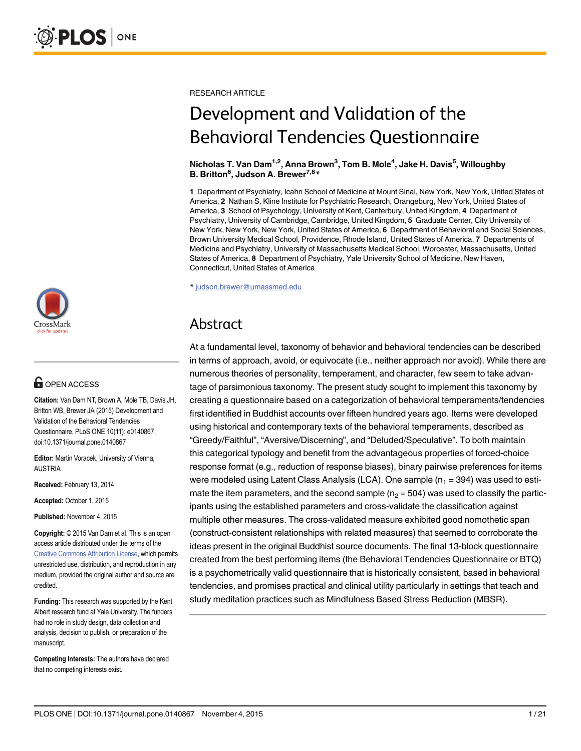RESEARCH ARTICLE

# Development and Validation of the Behavioral Tendencies Questionnaire

#### Nicholas T. Van Dam<sup>1,2</sup>, Anna Brown<sup>3</sup>, Tom B. Mole<sup>4</sup>, Jake H. Davis<sup>5</sup>, Willoughby B. Britton<sup>6</sup>, Judson A. Brewer<sup>7,8</sup>\*

1 Department of Psychiatry, Icahn School of Medicine at Mount Sinai, New York, New York, United States of America, 2 Nathan S. Kline Institute for Psychiatric Research, Orangeburg, New York, United States of America, 3 School of Psychology, University of Kent, Canterbury, United Kingdom, 4 Department of Psychiatry, University of Cambridge, Cambridge, United Kingdom, 5 Graduate Center, City University of New York, New York, New York, United States of America, 6 Department of Behavioral and Social Sciences, Brown University Medical School, Providence, Rhode Island, United States of America, 7 Departments of Medicine and Psychiatry, University of Massachusetts Medical School, Worcester, Massachusetts, United States of America, 8 Department of Psychiatry, Yale University School of Medicine, New Haven, Connecticut, United States of America

\* judson.brewer@umassmed.edu

## Abstract

At a fundamental level, taxonomy of behavior and behavioral tendencies can be described in terms of approach, avoid, or equivocate (i.e., neither approach nor avoid). While there are numerous theories of personality, temperament, and character, few seem to take advantage of parsimonious taxonomy. The present study sought to implement this taxonomy by creating a questionnaire based on a categorization of behavioral temperaments/tendencies first identified in Buddhist accounts over fifteen hundred years ago. Items were developed using historical and contemporary texts of the behavioral temperaments, described as "Greedy/Faithful", "Aversive/Discerning", and "Deluded/Speculative". To both maintain this categorical typology and benefit from the advantageous properties of forced-choice response format (e.g., reduction of response biases), binary pairwise preferences for items were modeled using Latent Class Analysis (LCA). One sample ( $n_1$  = 394) was used to estimate the item parameters, and the second sample ( $n<sub>2</sub> = 504$ ) was used to classify the participants using the established parameters and cross-validate the classification against multiple other measures. The cross-validated measure exhibited good nomothetic span (construct-consistent relationships with related measures) that seemed to corroborate the ideas present in the original Buddhist source documents. The final 13-block questionnaire created from the best performing items (the Behavioral Tendencies Questionnaire or BTQ) is a psychometrically valid questionnaire that is historically consistent, based in behavioral tendencies, and promises practical and clinical utility particularly in settings that teach and study meditation practices such as Mindfulness Based Stress Reduction (MBSR).



## **OPEN ACCESS**

Citation: Van Dam NT, Brown A, Mole TB, Davis JH, Britton WB, Brewer JA (2015) Development and Validation of the Behavioral Tendencies Questionnaire. PLoS ONE 10(11): e0140867. doi:10.1371/journal.pone.0140867

Editor: Martin Voracek, University of Vienna, AUSTRIA

Received: February 13, 2014

Accepted: October 1, 2015

Published: November 4, 2015

Copyright: © 2015 Van Dam et al. This is an open access article distributed under the terms of the [Creative Commons Attribution License,](http://creativecommons.org/licenses/by/4.0/) which permits unrestricted use, distribution, and reproduction in any medium, provided the original author and source are credited.

Funding: This research was supported by the Kent Albert research fund at Yale University. The funders had no role in study design, data collection and analysis, decision to publish, or preparation of the manuscript.

Competing Interests: The authors have declared that no competing interests exist.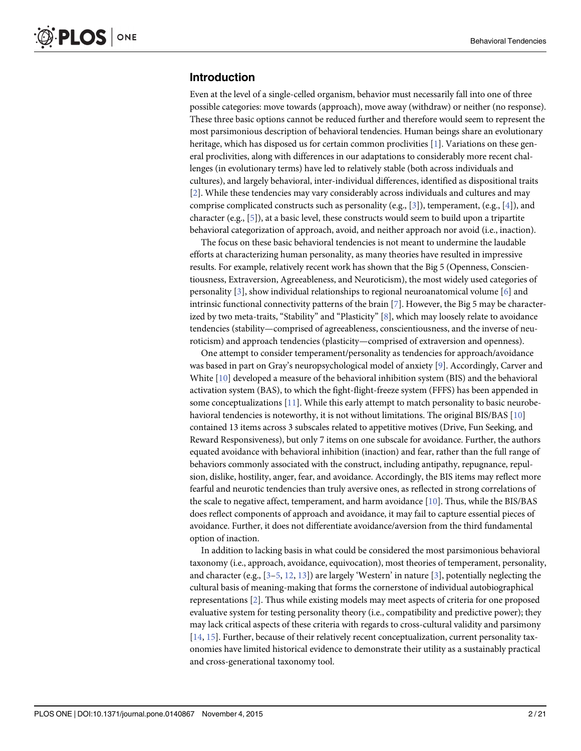## <span id="page-1-0"></span>Introduction

Even at the level of a single-celled organism, behavior must necessarily fall into one of three possible categories: move towards (approach), move away (withdraw) or neither (no response). These three basic options cannot be reduced further and therefore would seem to represent the most parsimonious description of behavioral tendencies. Human beings share an evolutionary heritage, which has disposed us for certain common proclivities [\[1\]](#page-18-0). Variations on these general proclivities, along with differences in our adaptations to considerably more recent challenges (in evolutionary terms) have led to relatively stable (both across individuals and cultures), and largely behavioral, inter-individual differences, identified as dispositional traits [\[2](#page-18-0)]. While these tendencies may vary considerably across individuals and cultures and may comprise complicated constructs such as personality (e.g., [\[3](#page-18-0)]), temperament, (e.g., [[4\]](#page-18-0)), and character (e.g.,  $[5]$  $[5]$  $[5]$ ), at a basic level, these constructs would seem to build upon a tripartite behavioral categorization of approach, avoid, and neither approach nor avoid (i.e., inaction).

The focus on these basic behavioral tendencies is not meant to undermine the laudable efforts at characterizing human personality, as many theories have resulted in impressive results. For example, relatively recent work has shown that the Big 5 (Openness, Conscientiousness, Extraversion, Agreeableness, and Neuroticism), the most widely used categories of personality  $[3]$  $[3]$ , show individual relationships to regional neuroanatomical volume  $[6]$  and intrinsic functional connectivity patterns of the brain [\[7](#page-18-0)]. However, the Big 5 may be characterized by two meta-traits, "Stability" and "Plasticity"  $[8]$  $[8]$  $[8]$ , which may loosely relate to avoidance tendencies (stability—comprised of agreeableness, conscientiousness, and the inverse of neuroticism) and approach tendencies (plasticity—comprised of extraversion and openness).

One attempt to consider temperament/personality as tendencies for approach/avoidance was based in part on Gray's neuropsychological model of anxiety [[9\]](#page-18-0). Accordingly, Carver and White [\[10](#page-18-0)] developed a measure of the behavioral inhibition system (BIS) and the behavioral activation system (BAS), to which the fight-flight-freeze system (FFFS) has been appended in some conceptualizations  $[11]$  $[11]$ . While this early attempt to match personality to basic neurobe-havioral tendencies is noteworthy, it is not without limitations. The original BIS/BAS [\[10\]](#page-18-0) contained 13 items across 3 subscales related to appetitive motives (Drive, Fun Seeking, and Reward Responsiveness), but only 7 items on one subscale for avoidance. Further, the authors equated avoidance with behavioral inhibition (inaction) and fear, rather than the full range of behaviors commonly associated with the construct, including antipathy, repugnance, repulsion, dislike, hostility, anger, fear, and avoidance. Accordingly, the BIS items may reflect more fearful and neurotic tendencies than truly aversive ones, as reflected in strong correlations of the scale to negative affect, temperament, and harm avoidance [[10](#page-18-0)]. Thus, while the BIS/BAS does reflect components of approach and avoidance, it may fail to capture essential pieces of avoidance. Further, it does not differentiate avoidance/aversion from the third fundamental option of inaction.

In addition to lacking basis in what could be considered the most parsimonious behavioral taxonomy (i.e., approach, avoidance, equivocation), most theories of temperament, personality, and character (e.g.,  $[3-5, 12, 13]$  $[3-5, 12, 13]$  $[3-5, 12, 13]$  $[3-5, 12, 13]$  $[3-5, 12, 13]$  $[3-5, 12, 13]$  $[3-5, 12, 13]$  $[3-5, 12, 13]$  $[3-5, 12, 13]$ ) are largely 'Western' in nature  $[3]$ , potentially neglecting the cultural basis of meaning-making that forms the cornerstone of individual autobiographical representations [[2\]](#page-18-0). Thus while existing models may meet aspects of criteria for one proposed evaluative system for testing personality theory (i.e., compatibility and predictive power); they may lack critical aspects of these criteria with regards to cross-cultural validity and parsimony [\[14](#page-18-0), [15\]](#page-18-0). Further, because of their relatively recent conceptualization, current personality taxonomies have limited historical evidence to demonstrate their utility as a sustainably practical and cross-generational taxonomy tool.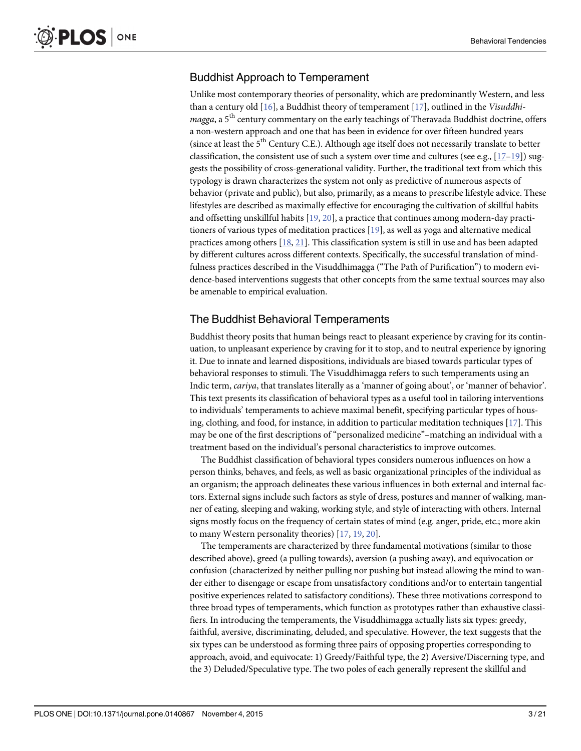## <span id="page-2-0"></span>Buddhist Approach to Temperament

Unlike most contemporary theories of personality, which are predominantly Western, and less than a century old  $[16]$  $[16]$  $[16]$ , a Buddhist theory of temperament  $[17]$ , outlined in the Visuddhimagga, a 5<sup>th</sup> century commentary on the early teachings of Theravada Buddhist doctrine, offers a non-western approach and one that has been in evidence for over fifteen hundred years (since at least the  $5<sup>th</sup>$  Century C.E.). Although age itself does not necessarily translate to better classification, the consistent use of such a system over time and cultures (see e.g.,  $[17-19]$  $[17-19]$  $[17-19]$  $[17-19]$  $[17-19]$ ) suggests the possibility of cross-generational validity. Further, the traditional text from which this typology is drawn characterizes the system not only as predictive of numerous aspects of behavior (private and public), but also, primarily, as a means to prescribe lifestyle advice. These lifestyles are described as maximally effective for encouraging the cultivation of skillful habits and offsetting unskillful habits [[19,](#page-18-0) [20\]](#page-18-0), a practice that continues among modern-day practitioners of various types of meditation practices  $[19]$  $[19]$  $[19]$ , as well as yoga and alternative medical practices among others [\[18,](#page-18-0) [21\]](#page-18-0). This classification system is still in use and has been adapted by different cultures across different contexts. Specifically, the successful translation of mindfulness practices described in the Visuddhimagga ("The Path of Purification") to modern evidence-based interventions suggests that other concepts from the same textual sources may also be amenable to empirical evaluation.

## The Buddhist Behavioral Temperaments

Buddhist theory posits that human beings react to pleasant experience by craving for its continuation, to unpleasant experience by craving for it to stop, and to neutral experience by ignoring it. Due to innate and learned dispositions, individuals are biased towards particular types of behavioral responses to stimuli. The Visuddhimagga refers to such temperaments using an Indic term, cariya, that translates literally as a 'manner of going about', or 'manner of behavior'. This text presents its classification of behavioral types as a useful tool in tailoring interventions to individuals' temperaments to achieve maximal benefit, specifying particular types of housing, clothing, and food, for instance, in addition to particular meditation techniques  $[17]$ . This may be one of the first descriptions of "personalized medicine"–matching an individual with a treatment based on the individual's personal characteristics to improve outcomes.

The Buddhist classification of behavioral types considers numerous influences on how a person thinks, behaves, and feels, as well as basic organizational principles of the individual as an organism; the approach delineates these various influences in both external and internal factors. External signs include such factors as style of dress, postures and manner of walking, manner of eating, sleeping and waking, working style, and style of interacting with others. Internal signs mostly focus on the frequency of certain states of mind (e.g. anger, pride, etc.; more akin to many Western personality theories) [[17,](#page-18-0) [19,](#page-18-0) [20\]](#page-18-0).

The temperaments are characterized by three fundamental motivations (similar to those described above), greed (a pulling towards), aversion (a pushing away), and equivocation or confusion (characterized by neither pulling nor pushing but instead allowing the mind to wander either to disengage or escape from unsatisfactory conditions and/or to entertain tangential positive experiences related to satisfactory conditions). These three motivations correspond to three broad types of temperaments, which function as prototypes rather than exhaustive classifiers. In introducing the temperaments, the Visuddhimagga actually lists six types: greedy, faithful, aversive, discriminating, deluded, and speculative. However, the text suggests that the six types can be understood as forming three pairs of opposing properties corresponding to approach, avoid, and equivocate: 1) Greedy/Faithful type, the 2) Aversive/Discerning type, and the 3) Deluded/Speculative type. The two poles of each generally represent the skillful and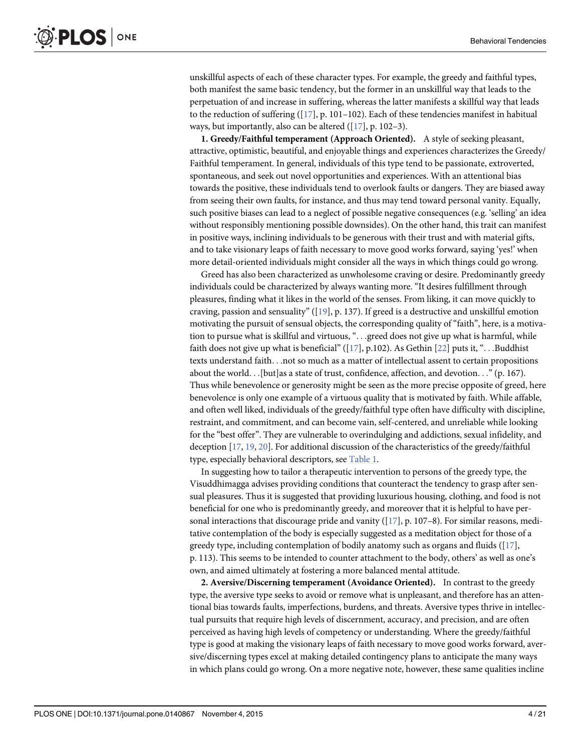<span id="page-3-0"></span>unskillful aspects of each of these character types. For example, the greedy and faithful types, both manifest the same basic tendency, but the former in an unskillful way that leads to the perpetuation of and increase in suffering, whereas the latter manifests a skillful way that leads to the reduction of suffering ( $[17]$  $[17]$ , p. 101-102). Each of these tendencies manifest in habitual ways, but importantly, also can be altered ([[17](#page-18-0)], p. 102–3).

1. Greedy/Faithful temperament (Approach Oriented). A style of seeking pleasant, attractive, optimistic, beautiful, and enjoyable things and experiences characterizes the Greedy/ Faithful temperament. In general, individuals of this type tend to be passionate, extroverted, spontaneous, and seek out novel opportunities and experiences. With an attentional bias towards the positive, these individuals tend to overlook faults or dangers. They are biased away from seeing their own faults, for instance, and thus may tend toward personal vanity. Equally, such positive biases can lead to a neglect of possible negative consequences (e.g. 'selling' an idea without responsibly mentioning possible downsides). On the other hand, this trait can manifest in positive ways, inclining individuals to be generous with their trust and with material gifts, and to take visionary leaps of faith necessary to move good works forward, saying 'yes!' when more detail-oriented individuals might consider all the ways in which things could go wrong.

Greed has also been characterized as unwholesome craving or desire. Predominantly greedy individuals could be characterized by always wanting more. "It desires fulfillment through pleasures, finding what it likes in the world of the senses. From liking, it can move quickly to craving, passion and sensuality" ( $[19]$ , p. 137). If greed is a destructive and unskillful emotion motivating the pursuit of sensual objects, the corresponding quality of "faith", here, is a motivation to pursue what is skillful and virtuous, "...greed does not give up what is harmful, while faith does not give up what is beneficial" ( $[17]$ , p.102). As Gethin  $[22]$  puts it, "... Buddhist texts understand faith...not so much as a matter of intellectual assent to certain propositions about the world...[but]as a state of trust, confidence, affection, and devotion..." (p. 167). Thus while benevolence or generosity might be seen as the more precise opposite of greed, here benevolence is only one example of a virtuous quality that is motivated by faith. While affable, and often well liked, individuals of the greedy/faithful type often have difficulty with discipline, restraint, and commitment, and can become vain, self-centered, and unreliable while looking for the "best offer". They are vulnerable to overindulging and addictions, sexual infidelity, and deception [[17](#page-18-0), [19](#page-18-0), [20](#page-18-0)]. For additional discussion of the characteristics of the greedy/faithful type, especially behavioral descriptors, see [Table 1](#page-4-0).

In suggesting how to tailor a therapeutic intervention to persons of the greedy type, the Visuddhimagga advises providing conditions that counteract the tendency to grasp after sensual pleasures. Thus it is suggested that providing luxurious housing, clothing, and food is not beneficial for one who is predominantly greedy, and moreover that it is helpful to have personal interactions that discourage pride and vanity ( $[17]$ , p. 107-8). For similar reasons, meditative contemplation of the body is especially suggested as a meditation object for those of a greedy type, including contemplation of bodily anatomy such as organs and fluids ([[17](#page-18-0)], p. 113). This seems to be intended to counter attachment to the body, others' as well as one's own, and aimed ultimately at fostering a more balanced mental attitude.

2. Aversive/Discerning temperament (Avoidance Oriented). In contrast to the greedy type, the aversive type seeks to avoid or remove what is unpleasant, and therefore has an attentional bias towards faults, imperfections, burdens, and threats. Aversive types thrive in intellectual pursuits that require high levels of discernment, accuracy, and precision, and are often perceived as having high levels of competency or understanding. Where the greedy/faithful type is good at making the visionary leaps of faith necessary to move good works forward, aversive/discerning types excel at making detailed contingency plans to anticipate the many ways in which plans could go wrong. On a more negative note, however, these same qualities incline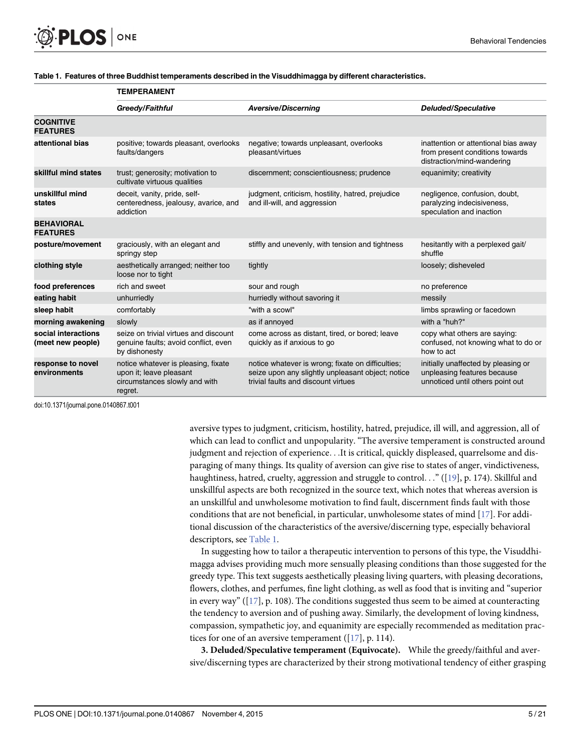#### <span id="page-4-0"></span>[Table 1.](#page-3-0) Features of three Buddhist temperaments described in the Visuddhimagga by different characteristics.

|                                          | Greedy/Faithful                                                                                            | <b>Aversive/Discerning</b>                                                                                                                    | <b>Deluded/Speculative</b>                                                                             |
|------------------------------------------|------------------------------------------------------------------------------------------------------------|-----------------------------------------------------------------------------------------------------------------------------------------------|--------------------------------------------------------------------------------------------------------|
| <b>COGNITIVE</b><br><b>FEATURES</b>      |                                                                                                            |                                                                                                                                               |                                                                                                        |
| attentional bias                         | positive; towards pleasant, overlooks<br>faults/dangers                                                    | negative; towards unpleasant, overlooks<br>pleasant/virtues                                                                                   | inattention or attentional bias away<br>from present conditions towards<br>distraction/mind-wandering  |
| skillful mind states                     | trust; generosity; motivation to<br>cultivate virtuous qualities                                           | discernment; conscientiousness; prudence                                                                                                      | equanimity; creativity                                                                                 |
| unskillful mind<br>states                | deceit, vanity, pride, self-<br>centeredness, jealousy, avarice, and<br>addiction                          | judgment, criticism, hostility, hatred, prejudice<br>and ill-will, and aggression                                                             | negligence, confusion, doubt,<br>paralyzing indecisiveness,<br>speculation and inaction                |
| <b>BEHAVIORAL</b><br><b>FEATURES</b>     |                                                                                                            |                                                                                                                                               |                                                                                                        |
| posture/movement                         | graciously, with an elegant and<br>springy step                                                            | stiffly and unevenly, with tension and tightness                                                                                              | hesitantly with a perplexed gait/<br>shuffle                                                           |
| clothing style                           | aesthetically arranged; neither too<br>loose nor to tight                                                  | tightly                                                                                                                                       | loosely; disheveled                                                                                    |
| food preferences                         | rich and sweet                                                                                             | sour and rough                                                                                                                                | no preference                                                                                          |
| eating habit                             | unhurriedly                                                                                                | hurriedly without savoring it                                                                                                                 | messily                                                                                                |
| sleep habit                              | comfortably                                                                                                | "with a scowl"                                                                                                                                | limbs sprawling or facedown                                                                            |
| morning awakening                        | slowly                                                                                                     | as if annoyed                                                                                                                                 | with a "huh?"                                                                                          |
| social interactions<br>(meet new people) | seize on trivial virtues and discount<br>genuine faults; avoid conflict, even<br>by dishonesty             | come across as distant, tired, or bored; leave<br>quickly as if anxious to go                                                                 | copy what others are saying:<br>confused, not knowing what to do or<br>how to act                      |
| response to novel<br>environments        | notice whatever is pleasing, fixate<br>upon it; leave pleasant<br>circumstances slowly and with<br>regret. | notice whatever is wrong; fixate on difficulties;<br>seize upon any slightly unpleasant object; notice<br>trivial faults and discount virtues | initially unaffected by pleasing or<br>unpleasing features because<br>unnoticed until others point out |

doi:10.1371/journal.pone.0140867.t001

aversive types to judgment, criticism, hostility, hatred, prejudice, ill will, and aggression, all of which can lead to conflict and unpopularity. "The aversive temperament is constructed around judgment and rejection of experience...It is critical, quickly displeased, quarrelsome and disparaging of many things. Its quality of aversion can give rise to states of anger, vindictiveness, haughtiness, hatred, cruelty, aggression and struggle to control..." ([[19](#page-18-0)], p. 174). Skillful and unskillful aspects are both recognized in the source text, which notes that whereas aversion is an unskillful and unwholesome motivation to find fault, discernment finds fault with those conditions that are not beneficial, in particular, unwholesome states of mind [[17](#page-18-0)]. For additional discussion of the characteristics of the aversive/discerning type, especially behavioral descriptors, see Table 1.

In suggesting how to tailor a therapeutic intervention to persons of this type, the Visuddhimagga advises providing much more sensually pleasing conditions than those suggested for the greedy type. This text suggests aesthetically pleasing living quarters, with pleasing decorations, flowers, clothes, and perfumes, fine light clothing, as well as food that is inviting and "superior in every way" ( $[17]$ , p. 108). The conditions suggested thus seem to be aimed at counteracting the tendency to aversion and of pushing away. Similarly, the development of loving kindness, compassion, sympathetic joy, and equanimity are especially recommended as meditation practices for one of an aversive temperament ([\[17\]](#page-18-0), p. 114).

3. Deluded/Speculative temperament (Equivocate). While the greedy/faithful and aversive/discerning types are characterized by their strong motivational tendency of either grasping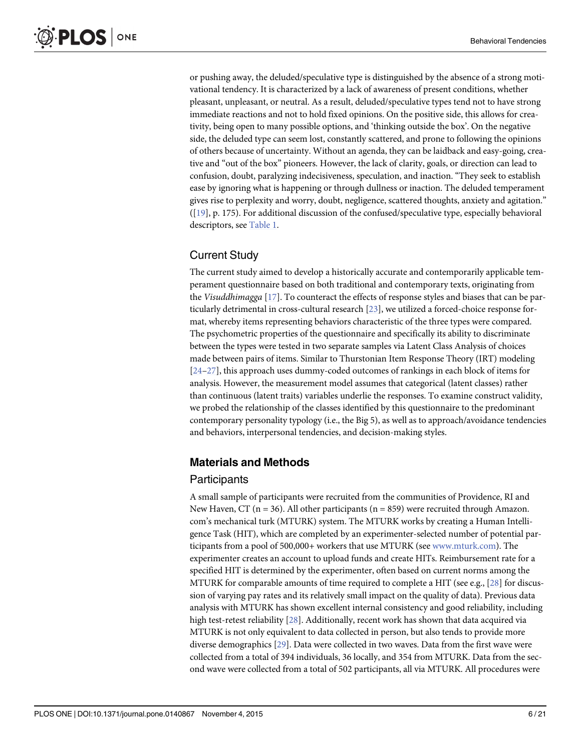<span id="page-5-0"></span>or pushing away, the deluded/speculative type is distinguished by the absence of a strong motivational tendency. It is characterized by a lack of awareness of present conditions, whether pleasant, unpleasant, or neutral. As a result, deluded/speculative types tend not to have strong immediate reactions and not to hold fixed opinions. On the positive side, this allows for creativity, being open to many possible options, and 'thinking outside the box'. On the negative side, the deluded type can seem lost, constantly scattered, and prone to following the opinions of others because of uncertainty. Without an agenda, they can be laidback and easy-going, creative and "out of the box" pioneers. However, the lack of clarity, goals, or direction can lead to confusion, doubt, paralyzing indecisiveness, speculation, and inaction. "They seek to establish ease by ignoring what is happening or through dullness or inaction. The deluded temperament gives rise to perplexity and worry, doubt, negligence, scattered thoughts, anxiety and agitation."  $([19], p. 175)$  $([19], p. 175)$  $([19], p. 175)$ . For additional discussion of the confused/speculative type, especially behavioral descriptors, see [Table 1.](#page-4-0)

## Current Study

The current study aimed to develop a historically accurate and contemporarily applicable temperament questionnaire based on both traditional and contemporary texts, originating from the Visuddhimagga [\[17\]](#page-18-0). To counteract the effects of response styles and biases that can be particularly detrimental in cross-cultural research [[23](#page-18-0)], we utilized a forced-choice response format, whereby items representing behaviors characteristic of the three types were compared. The psychometric properties of the questionnaire and specifically its ability to discriminate between the types were tested in two separate samples via Latent Class Analysis of choices made between pairs of items. Similar to Thurstonian Item Response Theory (IRT) modeling [\[24](#page-18-0)–[27\]](#page-19-0), this approach uses dummy-coded outcomes of rankings in each block of items for analysis. However, the measurement model assumes that categorical (latent classes) rather than continuous (latent traits) variables underlie the responses. To examine construct validity, we probed the relationship of the classes identified by this questionnaire to the predominant contemporary personality typology (i.e., the Big 5), as well as to approach/avoidance tendencies and behaviors, interpersonal tendencies, and decision-making styles.

## Materials and Methods

## **Participants**

A small sample of participants were recruited from the communities of Providence, RI and New Haven, CT ( $n = 36$ ). All other participants ( $n = 859$ ) were recruited through Amazon. com's mechanical turk (MTURK) system. The MTURK works by creating a Human Intelligence Task (HIT), which are completed by an experimenter-selected number of potential participants from a pool of 500,000+ workers that use MTURK (see [www.mturk.com\)](http://www.mturk.com). The experimenter creates an account to upload funds and create HITs. Reimbursement rate for a specified HIT is determined by the experimenter, often based on current norms among the MTURK for comparable amounts of time required to complete a HIT (see e.g., [\[28](#page-19-0)] for discussion of varying pay rates and its relatively small impact on the quality of data). Previous data analysis with MTURK has shown excellent internal consistency and good reliability, including high test-retest reliability [[28](#page-19-0)]. Additionally, recent work has shown that data acquired via MTURK is not only equivalent to data collected in person, but also tends to provide more diverse demographics [\[29\]](#page-19-0). Data were collected in two waves. Data from the first wave were collected from a total of 394 individuals, 36 locally, and 354 from MTURK. Data from the second wave were collected from a total of 502 participants, all via MTURK. All procedures were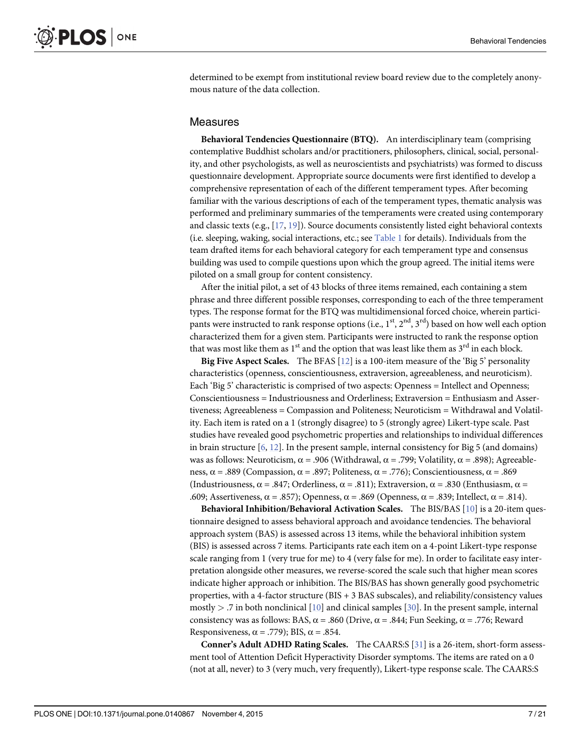<span id="page-6-0"></span>determined to be exempt from institutional review board review due to the completely anonymous nature of the data collection.

#### **Measures**

Behavioral Tendencies Questionnaire (BTQ). An interdisciplinary team (comprising contemplative Buddhist scholars and/or practitioners, philosophers, clinical, social, personality, and other psychologists, as well as neuroscientists and psychiatrists) was formed to discuss questionnaire development. Appropriate source documents were first identified to develop a comprehensive representation of each of the different temperament types. After becoming familiar with the various descriptions of each of the temperament types, thematic analysis was performed and preliminary summaries of the temperaments were created using contemporary and classic texts (e.g., [[17](#page-18-0), [19](#page-18-0)]). Source documents consistently listed eight behavioral contexts (i.e. sleeping, waking, social interactions, etc.; see [Table 1](#page-4-0) for details). Individuals from the team drafted items for each behavioral category for each temperament type and consensus building was used to compile questions upon which the group agreed. The initial items were piloted on a small group for content consistency.

After the initial pilot, a set of 43 blocks of three items remained, each containing a stem phrase and three different possible responses, corresponding to each of the three temperament types. The response format for the BTQ was multidimensional forced choice, wherein participants were instructed to rank response options (i.e.,  $1^{st}$ ,  $2^{nd}$ ,  $3^{rd}$ ) based on how well each option characterized them for a given stem. Participants were instructed to rank the response option that was most like them as  $1<sup>st</sup>$  and the option that was least like them as  $3<sup>rd</sup>$  in each block.

Big Five Aspect Scales. The BFAS [\[12\]](#page-18-0) is a 100-item measure of the 'Big 5' personality characteristics (openness, conscientiousness, extraversion, agreeableness, and neuroticism). Each 'Big 5' characteristic is comprised of two aspects: Openness = Intellect and Openness; Conscientiousness = Industriousness and Orderliness; Extraversion = Enthusiasm and Assertiveness; Agreeableness = Compassion and Politeness; Neuroticism = Withdrawal and Volatility. Each item is rated on a 1 (strongly disagree) to 5 (strongly agree) Likert-type scale. Past studies have revealed good psychometric properties and relationships to individual differences in brain structure  $[6, 12]$  $[6, 12]$  $[6, 12]$  $[6, 12]$ . In the present sample, internal consistency for Big 5 (and domains) was as follows: Neuroticism,  $\alpha$  = .906 (Withdrawal,  $\alpha$  = .799; Volatility,  $\alpha$  = .898); Agreeableness,  $\alpha$  = .889 (Compassion,  $\alpha$  = .897; Politeness,  $\alpha$  = .776); Conscientiousness,  $\alpha$  = .869 (Industriousness,  $\alpha = .847$ ; Orderliness,  $\alpha = .811$ ); Extraversion,  $\alpha = .830$  (Enthusiasm,  $\alpha =$ .609; Assertiveness,  $\alpha = .857$ ; Openness,  $\alpha = .869$  (Openness,  $\alpha = .839$ ; Intellect,  $\alpha = .814$ ).

Behavioral Inhibition/Behavioral Activation Scales. The BIS/BAS [[10](#page-18-0)] is a 20-item questionnaire designed to assess behavioral approach and avoidance tendencies. The behavioral approach system (BAS) is assessed across 13 items, while the behavioral inhibition system (BIS) is assessed across 7 items. Participants rate each item on a 4-point Likert-type response scale ranging from 1 (very true for me) to 4 (very false for me). In order to facilitate easy interpretation alongside other measures, we reverse-scored the scale such that higher mean scores indicate higher approach or inhibition. The BIS/BAS has shown generally good psychometric properties, with a 4-factor structure (BIS + 3 BAS subscales), and reliability/consistency values mostly  $> .7$  in both nonclinical  $[10]$  $[10]$  $[10]$  and clinical samples  $[30]$ . In the present sample, internal consistency was as follows: BAS,  $\alpha$  = .860 (Drive,  $\alpha$  = .844; Fun Seeking,  $\alpha$  = .776; Reward Responsiveness,  $\alpha = .779$ ; BIS,  $\alpha = .854$ .

Conner's Adult ADHD Rating Scales. The CAARS:S [[31](#page-19-0)] is a 26-item, short-form assessment tool of Attention Deficit Hyperactivity Disorder symptoms. The items are rated on a 0 (not at all, never) to 3 (very much, very frequently), Likert-type response scale. The CAARS:S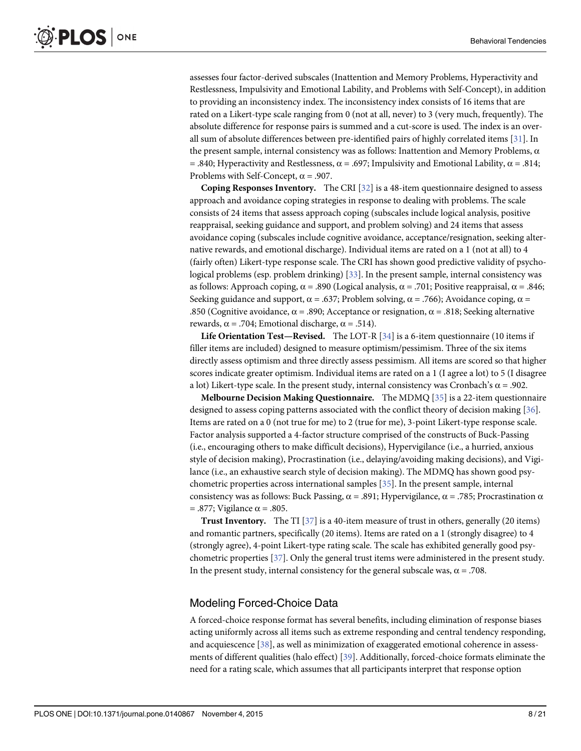<span id="page-7-0"></span>assesses four factor-derived subscales (Inattention and Memory Problems, Hyperactivity and Restlessness, Impulsivity and Emotional Lability, and Problems with Self-Concept), in addition to providing an inconsistency index. The inconsistency index consists of 16 items that are rated on a Likert-type scale ranging from 0 (not at all, never) to 3 (very much, frequently). The absolute difference for response pairs is summed and a cut-score is used. The index is an overall sum of absolute differences between pre-identified pairs of highly correlated items [\[31\]](#page-19-0). In the present sample, internal consistency was as follows: Inattention and Memory Problems, α = .840; Hyperactivity and Restlessness,  $\alpha$  = .697; Impulsivity and Emotional Lability,  $\alpha$  = .814; Problems with Self-Concept,  $\alpha$  = .907.

Coping Responses Inventory. The CRI  $[32]$  $[32]$  $[32]$  is a 48-item questionnaire designed to assess approach and avoidance coping strategies in response to dealing with problems. The scale consists of 24 items that assess approach coping (subscales include logical analysis, positive reappraisal, seeking guidance and support, and problem solving) and 24 items that assess avoidance coping (subscales include cognitive avoidance, acceptance/resignation, seeking alternative rewards, and emotional discharge). Individual items are rated on a 1 (not at all) to 4 (fairly often) Likert-type response scale. The CRI has shown good predictive validity of psycho-logical problems (esp. problem drinking) [[33](#page-19-0)]. In the present sample, internal consistency was as follows: Approach coping,  $\alpha = .890$  (Logical analysis,  $\alpha = .701$ ; Positive reappraisal,  $\alpha = .846$ ; Seeking guidance and support,  $\alpha = .637$ ; Problem solving,  $\alpha = .766$ ; Avoidance coping,  $\alpha =$ .850 (Cognitive avoidance,  $\alpha$  = .890; Acceptance or resignation,  $\alpha$  = .818; Seeking alternative rewards,  $\alpha$  = .704; Emotional discharge,  $\alpha$  = .514).

**Life Orientation Test—Revised.** The LOT-R  $[34]$  $[34]$  $[34]$  is a 6-item questionnaire (10 items if filler items are included) designed to measure optimism/pessimism. Three of the six items directly assess optimism and three directly assess pessimism. All items are scored so that higher scores indicate greater optimism. Individual items are rated on a 1 (I agree a lot) to 5 (I disagree a lot) Likert-type scale. In the present study, internal consistency was Cronbach's  $\alpha$  = .902.

Melbourne Decision Making Questionnaire. The MDMQ [\[35](#page-19-0)] is a 22-item questionnaire designed to assess coping patterns associated with the conflict theory of decision making [[36](#page-19-0)]. Items are rated on a 0 (not true for me) to 2 (true for me), 3-point Likert-type response scale. Factor analysis supported a 4-factor structure comprised of the constructs of Buck-Passing (i.e., encouraging others to make difficult decisions), Hypervigilance (i.e., a hurried, anxious style of decision making), Procrastination (i.e., delaying/avoiding making decisions), and Vigilance (i.e., an exhaustive search style of decision making). The MDMQ has shown good psychometric properties across international samples [[35](#page-19-0)]. In the present sample, internal consistency was as follows: Buck Passing,  $\alpha$  = .891; Hypervigilance,  $\alpha$  = .785; Procrastination  $\alpha$  $= .877$ ; Vigilance  $\alpha = .805$ .

**Trust Inventory.** The TI  $[37]$  $[37]$  $[37]$  is a 40-item measure of trust in others, generally (20 items) and romantic partners, specifically (20 items). Items are rated on a 1 (strongly disagree) to 4 (strongly agree), 4-point Likert-type rating scale. The scale has exhibited generally good psychometric properties [\[37](#page-19-0)]. Only the general trust items were administered in the present study. In the present study, internal consistency for the general subscale was,  $\alpha = .708$ .

#### Modeling Forced-Choice Data

A forced-choice response format has several benefits, including elimination of response biases acting uniformly across all items such as extreme responding and central tendency responding, and acquiescence [\[38\]](#page-19-0), as well as minimization of exaggerated emotional coherence in assessments of different qualities (halo effect) [[39](#page-19-0)]. Additionally, forced-choice formats eliminate the need for a rating scale, which assumes that all participants interpret that response option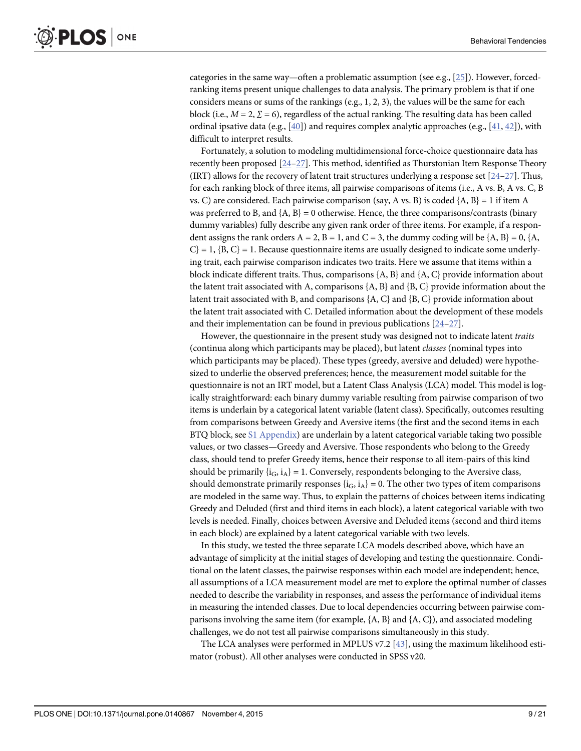<span id="page-8-0"></span>categories in the same way—often a problematic assumption (see e.g., [\[25](#page-19-0)]). However, forcedranking items present unique challenges to data analysis. The primary problem is that if one considers means or sums of the rankings (e.g., 1, 2, 3), the values will be the same for each block (i.e.,  $M = 2$ ,  $\Sigma = 6$ ), regardless of the actual ranking. The resulting data has been called ordinal ipsative data (e.g.,  $[40]$ ) and requires complex analytic approaches (e.g.,  $[41, 42]$  $[41, 42]$  $[41, 42]$ ), with difficult to interpret results.

Fortunately, a solution to modeling multidimensional force-choice questionnaire data has recently been proposed [\[24](#page-18-0)–[27\]](#page-19-0). This method, identified as Thurstonian Item Response Theory (IRT) allows for the recovery of latent trait structures underlying a response set  $[24-27]$  $[24-27]$  $[24-27]$ . Thus, for each ranking block of three items, all pairwise comparisons of items (i.e., A vs. B, A vs. C, B vs. C) are considered. Each pairwise comparison (say, A vs. B) is coded  ${A, B} = 1$  if item A was preferred to B, and  ${A, B} = 0$  otherwise. Hence, the three comparisons/contrasts (binary dummy variables) fully describe any given rank order of three items. For example, if a respondent assigns the rank orders  $A = 2$ ,  $B = 1$ , and  $C = 3$ , the dummy coding will be  $\{A, B\} = 0$ ,  $\{A,$  $C_1 = 1$ ,  $\{B, C\} = 1$ . Because questionnaire items are usually designed to indicate some underlying trait, each pairwise comparison indicates two traits. Here we assume that items within a block indicate different traits. Thus, comparisons  $\{A, B\}$  and  $\{A, C\}$  provide information about the latent trait associated with A, comparisons {A, B} and {B, C} provide information about the latent trait associated with B, and comparisons  ${A, C}$  and  ${B, C}$  provide information about the latent trait associated with C. Detailed information about the development of these models and their implementation can be found in previous publications  $[24-27]$  $[24-27]$  $[24-27]$  $[24-27]$ .

However, the questionnaire in the present study was designed not to indicate latent traits (continua along which participants may be placed), but latent classes (nominal types into which participants may be placed). These types (greedy, aversive and deluded) were hypothesized to underlie the observed preferences; hence, the measurement model suitable for the questionnaire is not an IRT model, but a Latent Class Analysis (LCA) model. This model is logically straightforward: each binary dummy variable resulting from pairwise comparison of two items is underlain by a categorical latent variable (latent class). Specifically, outcomes resulting from comparisons between Greedy and Aversive items (the first and the second items in each BTQ block, see [S1 Appendix\)](#page-17-0) are underlain by a latent categorical variable taking two possible values, or two classes—Greedy and Aversive. Those respondents who belong to the Greedy class, should tend to prefer Greedy items, hence their response to all item-pairs of this kind should be primarily  $\{i_G, i_A\} = 1$ . Conversely, respondents belonging to the Aversive class, should demonstrate primarily responses  ${i_G, i_A} = 0$ . The other two types of item comparisons are modeled in the same way. Thus, to explain the patterns of choices between items indicating Greedy and Deluded (first and third items in each block), a latent categorical variable with two levels is needed. Finally, choices between Aversive and Deluded items (second and third items in each block) are explained by a latent categorical variable with two levels.

In this study, we tested the three separate LCA models described above, which have an advantage of simplicity at the initial stages of developing and testing the questionnaire. Conditional on the latent classes, the pairwise responses within each model are independent; hence, all assumptions of a LCA measurement model are met to explore the optimal number of classes needed to describe the variability in responses, and assess the performance of individual items in measuring the intended classes. Due to local dependencies occurring between pairwise comparisons involving the same item (for example,  ${A, B}$  and  ${A, C}$ ), and associated modeling challenges, we do not test all pairwise comparisons simultaneously in this study.

The LCA analyses were performed in MPLUS v7.2  $[43]$ , using the maximum likelihood estimator (robust). All other analyses were conducted in SPSS v20.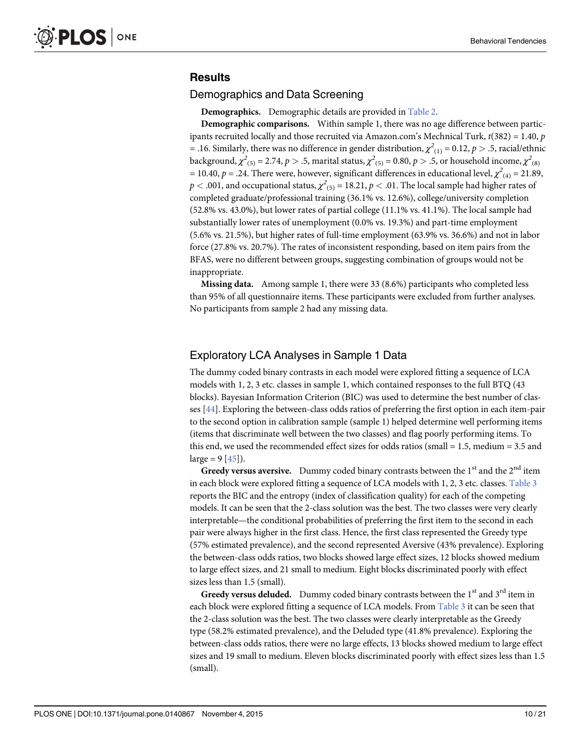## <span id="page-9-0"></span>**Results**

#### Demographics and Data Screening

Demographics. Demographic details are provided in [Table 2](#page-10-0).

Demographic comparisons. Within sample 1, there was no age difference between participants recruited locally and those recruited via Amazon.com's Mechnical Turk,  $t(382) = 1.40$ ,  $p$ = .16. Similarly, there was no difference in gender distribution,  $\chi^2_{(1)}$  = 0.12,  $p > .5$ , racial/ethnic background,  $\chi^2_{\;(5)}$  = 2.74,  $p>$  .5, marital status,  $\chi^2_{\;(5)}$  = 0.80,  $p>$  .5, or household income,  $\chi^2_{\;(8)}$ = 10.40,  $p = .24$ . There were, however, significant differences in educational level,  $\chi^2_{(4)} = 21.89$ ,  $p < .001$ , and occupational status,  $\chi^2_{\:\: (5)}$  = 18.21,  $p < .01.$  The local sample had higher rates of completed graduate/professional training (36.1% vs. 12.6%), college/university completion (52.8% vs. 43.0%), but lower rates of partial college (11.1% vs. 41.1%). The local sample had substantially lower rates of unemployment (0.0% vs. 19.3%) and part-time employment (5.6% vs. 21.5%), but higher rates of full-time employment (63.9% vs. 36.6%) and not in labor force (27.8% vs. 20.7%). The rates of inconsistent responding, based on item pairs from the BFAS, were no different between groups, suggesting combination of groups would not be inappropriate.

Missing data. Among sample 1, there were 33 (8.6%) participants who completed less than 95% of all questionnaire items. These participants were excluded from further analyses. No participants from sample 2 had any missing data.

#### Exploratory LCA Analyses in Sample 1 Data

The dummy coded binary contrasts in each model were explored fitting a sequence of LCA models with 1, 2, 3 etc. classes in sample 1, which contained responses to the full BTQ (43 blocks). Bayesian Information Criterion (BIC) was used to determine the best number of classes [\[44\]](#page-19-0). Exploring the between-class odds ratios of preferring the first option in each item-pair to the second option in calibration sample (sample 1) helped determine well performing items (items that discriminate well between the two classes) and flag poorly performing items. To this end, we used the recommended effect sizes for odds ratios (small  $= 1.5$ , medium  $= 3.5$  and  $large = 9 [45]$  $large = 9 [45]$  $large = 9 [45]$ .

Greedy versus aversive. Dummy coded binary contrasts between the  $1<sup>st</sup>$  and the  $2<sup>nd</sup>$  item in each block were explored fitting a sequence of LCA models with 1, 2, 3 etc. classes. [Table 3](#page-11-0) reports the BIC and the entropy (index of classification quality) for each of the competing models. It can be seen that the 2-class solution was the best. The two classes were very clearly interpretable—the conditional probabilities of preferring the first item to the second in each pair were always higher in the first class. Hence, the first class represented the Greedy type (57% estimated prevalence), and the second represented Aversive (43% prevalence). Exploring the between-class odds ratios, two blocks showed large effect sizes, 12 blocks showed medium to large effect sizes, and 21 small to medium. Eight blocks discriminated poorly with effect sizes less than 1.5 (small).

Greedy versus deluded. Dummy coded binary contrasts between the  $1<sup>st</sup>$  and  $3<sup>rd</sup>$  item in each block were explored fitting a sequence of LCA models. From [Table 3](#page-11-0) it can be seen that the 2-class solution was the best. The two classes were clearly interpretable as the Greedy type (58.2% estimated prevalence), and the Deluded type (41.8% prevalence). Exploring the between-class odds ratios, there were no large effects, 13 blocks showed medium to large effect sizes and 19 small to medium. Eleven blocks discriminated poorly with effect sizes less than 1.5 (small).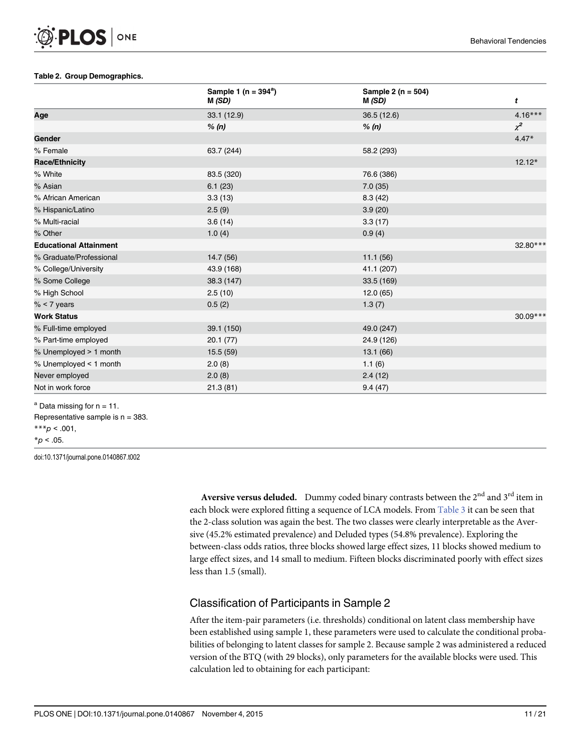#### <span id="page-10-0"></span>[Table 2.](#page-9-0) Group Demographics.

|                                                                                            | Sample 1 ( $n = 394^a$ )<br>M (SD) | Sample 2 ( $n = 504$ )<br>M(SD) | t          |
|--------------------------------------------------------------------------------------------|------------------------------------|---------------------------------|------------|
| Age                                                                                        | 33.1(12.9)                         | 36.5(12.6)                      | $4.16***$  |
|                                                                                            | % (n)                              | % (n)                           | $\chi^2$   |
| Gender                                                                                     |                                    |                                 | $4.47*$    |
| % Female                                                                                   | 63.7 (244)                         | 58.2 (293)                      |            |
| <b>Race/Ethnicity</b>                                                                      |                                    |                                 | $12.12*$   |
| % White                                                                                    | 83.5 (320)                         | 76.6 (386)                      |            |
| % Asian                                                                                    | 6.1(23)                            | 7.0(35)                         |            |
| % African American                                                                         | 3.3(13)                            | 8.3(42)                         |            |
| % Hispanic/Latino                                                                          | 2.5(9)                             | 3.9(20)                         |            |
| % Multi-racial                                                                             | 3.6(14)                            | 3.3(17)                         |            |
| % Other                                                                                    | 1.0(4)                             | 0.9(4)                          |            |
| <b>Educational Attainment</b>                                                              |                                    |                                 | 32.80***   |
| % Graduate/Professional                                                                    | 14.7 (56)                          | 11.1(56)                        |            |
| % College/University                                                                       | 43.9 (168)                         | 41.1 (207)                      |            |
| % Some College                                                                             | 38.3 (147)                         | 33.5 (169)                      |            |
| % High School                                                                              | 2.5(10)                            | 12.0(65)                        |            |
| % < 7 years                                                                                | 0.5(2)                             | 1.3(7)                          |            |
| <b>Work Status</b>                                                                         |                                    |                                 | $30.09***$ |
| % Full-time employed                                                                       | 39.1 (150)                         | 49.0 (247)                      |            |
| % Part-time employed                                                                       | 20.1(77)                           | 24.9 (126)                      |            |
| % Unemployed > 1 month                                                                     | 15.5(59)                           | 13.1(66)                        |            |
| % Unemployed < 1 month                                                                     | 2.0(8)                             | 1.1(6)                          |            |
| Never employed                                                                             | 2.0(8)                             | 2.4(12)                         |            |
| Not in work force                                                                          | 21.3(81)                           | 9.4(47)                         |            |
| $a$ Data missing for $n = 11$ .<br>Representative sample is $n = 383$ .<br>*** $p$ < .001, |                                    |                                 |            |

 $*_{p}$  < .05.

doi:10.1371/journal.pone.0140867.t002

Aversive versus deluded. Dummy coded binary contrasts between the  $2<sup>nd</sup>$  and  $3<sup>rd</sup>$  item in each block were explored fitting a sequence of LCA models. From [Table 3](#page-11-0) it can be seen that the 2-class solution was again the best. The two classes were clearly interpretable as the Aversive (45.2% estimated prevalence) and Deluded types (54.8% prevalence). Exploring the between-class odds ratios, three blocks showed large effect sizes, 11 blocks showed medium to large effect sizes, and 14 small to medium. Fifteen blocks discriminated poorly with effect sizes less than 1.5 (small).

## Classification of Participants in Sample 2

After the item-pair parameters (i.e. thresholds) conditional on latent class membership have been established using sample 1, these parameters were used to calculate the conditional probabilities of belonging to latent classes for sample 2. Because sample 2 was administered a reduced version of the BTQ (with 29 blocks), only parameters for the available blocks were used. This calculation led to obtaining for each participant: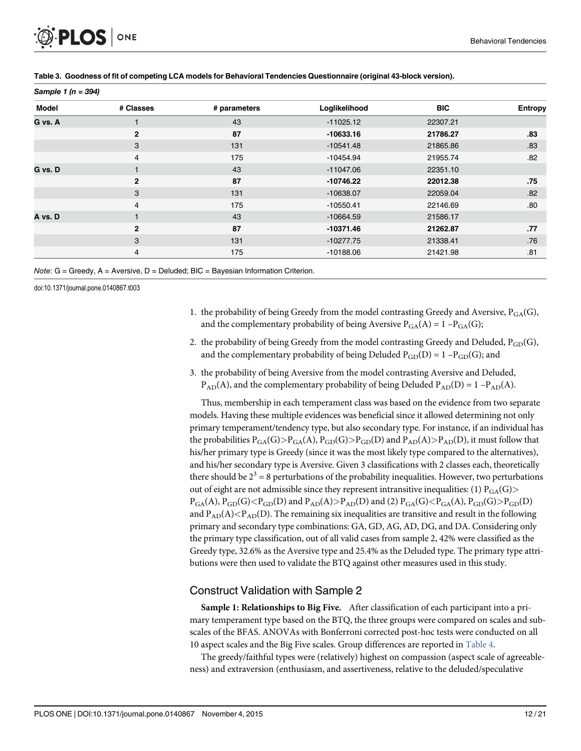<span id="page-11-0"></span>

| Sample 1 (n = 394) |                |              |               |            |         |
|--------------------|----------------|--------------|---------------|------------|---------|
| <b>Model</b>       | # Classes      | # parameters | Loglikelihood | <b>BIC</b> | Entropy |
| G vs. A            |                | 43           | $-11025.12$   | 22307.21   |         |
|                    | $\overline{2}$ | 87           | $-10633.16$   | 21786.27   | .83     |
|                    | 3              | 131          | $-10541.48$   | 21865.86   | .83     |
|                    | $\overline{4}$ | 175          | $-10454.94$   | 21955.74   | .82     |
| G vs. D            |                | 43           | $-11047.06$   | 22351.10   |         |
|                    | $\overline{2}$ | 87           | $-10746.22$   | 22012.38   | .75     |
|                    | 3              | 131          | $-10638.07$   | 22059.04   | .82     |
|                    | $\overline{4}$ | 175          | $-10550.41$   | 22146.69   | .80     |
| A vs. D            |                | 43           | $-10664.59$   | 21586.17   |         |
|                    | $\overline{2}$ | 87           | $-10371.46$   | 21262.87   | .77     |
|                    | 3              | 131          | $-10277.75$   | 21338.41   | .76     |
|                    | 4              | 175          | $-10188.06$   | 21421.98   | .81     |

#### [Table 3.](#page-9-0) Goodness of fit of competing LCA models for Behavioral Tendencies Questionnaire (original 43-block version).

Note:  $G =$  Greedy,  $A =$  Aversive,  $D =$  Deluded; BIC = Bayesian Information Criterion.

doi:10.1371/journal.pone.0140867.t003

- 1. the probability of being Greedy from the model contrasting Greedy and Aversive,  $P_{GA}(G)$ , and the complementary probability of being Aversive  $P_{GA}(A) = 1 - P_{GA}(G)$ ;
- 2. the probability of being Greedy from the model contrasting Greedy and Deluded,  $P_{GD}(G)$ , and the complementary probability of being Deluded  $P_{GD}(D) = 1 - P_{GD}(G)$ ; and
- 3. the probability of being Aversive from the model contrasting Aversive and Deluded,  $P_{AD}(A)$ , and the complementary probability of being Deluded  $P_{AD}(D) = 1 - P_{AD}(A)$ .

Thus, membership in each temperament class was based on the evidence from two separate models. Having these multiple evidences was beneficial since it allowed determining not only primary temperament/tendency type, but also secondary type. For instance, if an individual has the probabilities  $P_{GA}(G) > P_{GA}(A)$ ,  $P_{GD}(G) > P_{GD}(D)$  and  $P_{AD}(A) > P_{AD}(D)$ , it must follow that his/her primary type is Greedy (since it was the most likely type compared to the alternatives), and his/her secondary type is Aversive. Given 3 classifications with 2 classes each, theoretically there should be  $2<sup>3</sup> = 8$  perturbations of the probability inequalities. However, two perturbations out of eight are not admissible since they represent intransitive inequalities: (1)  $P_{GA}(G)$  $P_{GA}(A)$ ,  $P_{GD}(G) < P_{GD}(D)$  and  $P_{AD}(A) > P_{AD}(D)$  and (2)  $P_{GA}(G) < P_{GA}(A)$ ,  $P_{GD}(G) > P_{GD}(D)$ and  $P_{AD}(A) < P_{AD}(D)$ . The remaining six inequalities are transitive and result in the following primary and secondary type combinations: GA, GD, AG, AD, DG, and DA. Considering only the primary type classification, out of all valid cases from sample 2, 42% were classified as the Greedy type, 32.6% as the Aversive type and 25.4% as the Deluded type. The primary type attributions were then used to validate the BTQ against other measures used in this study.

## Construct Validation with Sample 2

Sample 1: Relationships to Big Five. After classification of each participant into a primary temperament type based on the BTQ, the three groups were compared on scales and subscales of the BFAS. ANOVAs with Bonferroni corrected post-hoc tests were conducted on all 10 aspect scales and the Big Five scales. Group differences are reported in [Table 4.](#page-12-0)

The greedy/faithful types were (relatively) highest on compassion (aspect scale of agreeableness) and extraversion (enthusiasm, and assertiveness, relative to the deluded/speculative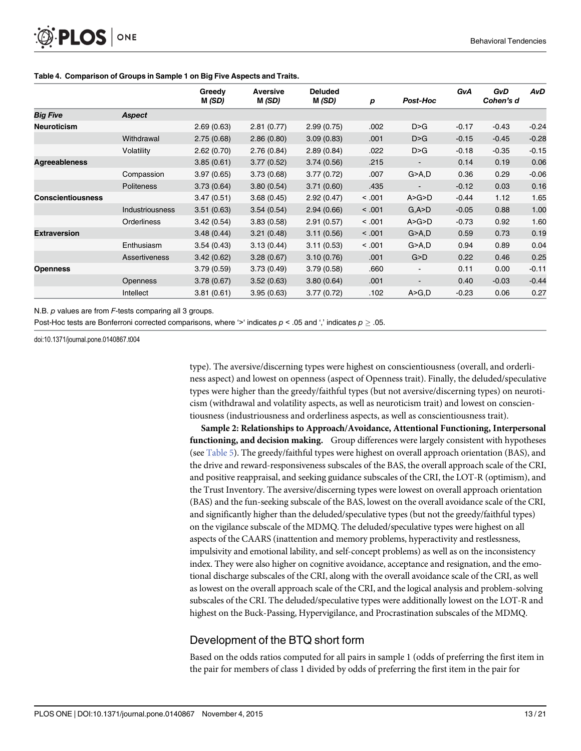|                   | Greedy<br>M (SD) | <b>Aversive</b><br>M (SD) | <b>Deluded</b><br>M (SD) | р      | Post-Hoc                 | GvA     | GvD<br>Cohen's d | <b>AvD</b> |
|-------------------|------------------|---------------------------|--------------------------|--------|--------------------------|---------|------------------|------------|
| Aspect            |                  |                           |                          |        |                          |         |                  |            |
|                   | 2.69(0.63)       | 2.81(0.77)                | 2.99(0.75)               | .002   | D > G                    | $-0.17$ | $-0.43$          | $-0.24$    |
| Withdrawal        | 2.75(0.68)       | 2.86(0.80)                | 3.09(0.83)               | .001   | D > G                    | $-0.15$ | $-0.45$          | $-0.28$    |
| Volatility        | 2.62(0.70)       | 2.76(0.84)                | 2.89(0.84)               | .022   | D > G                    | $-0.18$ | $-0.35$          | $-0.15$    |
|                   | 3.85(0.61)       | 3.77(0.52)                | 3.74(0.56)               | .215   | $\blacksquare$           | 0.14    | 0.19             | 0.06       |
| Compassion        | 3.97(0.65)       | 3.73(0.68)                | 3.77(0.72)               | .007   | G > A, D                 | 0.36    | 0.29             | $-0.06$    |
| <b>Politeness</b> | 3.73(0.64)       | 3.80(0.54)                | 3.71(0.60)               | .435   |                          | $-0.12$ | 0.03             | 0.16       |
|                   | 3.47(0.51)       | 3.68(0.45)                | 2.92(0.47)               | < .001 | A > G > D                | $-0.44$ | 1.12             | 1.65       |
| Industriousness   | 3.51(0.63)       | 3.54(0.54)                | 2.94(0.66)               | < .001 | G.A > D                  | $-0.05$ | 0.88             | 1.00       |
| Orderliness       | 3.42(0.54)       | 3.83(0.58)                | 2.91(0.57)               | < .001 | A > G > D                | $-0.73$ | 0.92             | 1.60       |
|                   | 3.48(0.44)       | 3.21(0.48)                | 3.11(0.56)               | < .001 | G > A.D                  | 0.59    | 0.73             | 0.19       |
| Enthusiasm        | 3.54(0.43)       | 3.13(0.44)                | 3.11(0.53)               | < .001 | G > A.D                  | 0.94    | 0.89             | 0.04       |
| Assertiveness     | 3.42(0.62)       | 3.28(0.67)                | 3.10(0.76)               | .001   | G > D                    | 0.22    | 0.46             | 0.25       |
|                   | 3.79(0.59)       | 3.73(0.49)                | 3.79(0.58)               | .660   | $\blacksquare$           | 0.11    | 0.00             | $-0.11$    |
| <b>Openness</b>   | 3.78(0.67)       | 3.52(0.63)                | 3.80(0.64)               | .001   | $\overline{\phantom{a}}$ | 0.40    | $-0.03$          | $-0.44$    |
| Intellect         | 3.81(0.61)       | 3.95(0.63)                | 3.77(0.72)               | .102   | A > G.D                  | $-0.23$ | 0.06             | 0.27       |
|                   |                  |                           |                          |        |                          |         |                  |            |

#### <span id="page-12-0"></span>[Table 4.](#page-11-0) Comparison of Groups in Sample 1 on Big Five Aspects and Traits.

N.B. p values are from F-tests comparing all 3 groups.

Post-Hoc tests are Bonferroni corrected comparisons, where '>' indicates  $p < .05$  and ',' indicates  $p \ge .05$ .

doi:10.1371/journal.pone.0140867.t004

type). The aversive/discerning types were highest on conscientiousness (overall, and orderliness aspect) and lowest on openness (aspect of Openness trait). Finally, the deluded/speculative types were higher than the greedy/faithful types (but not aversive/discerning types) on neuroticism (withdrawal and volatility aspects, as well as neuroticism trait) and lowest on conscientiousness (industriousness and orderliness aspects, as well as conscientiousness trait).

Sample 2: Relationships to Approach/Avoidance, Attentional Functioning, Interpersonal functioning, and decision making. Group differences were largely consistent with hypotheses (see [Table 5](#page-13-0)). The greedy/faithful types were highest on overall approach orientation (BAS), and the drive and reward-responsiveness subscales of the BAS, the overall approach scale of the CRI, and positive reappraisal, and seeking guidance subscales of the CRI, the LOT-R (optimism), and the Trust Inventory. The aversive/discerning types were lowest on overall approach orientation (BAS) and the fun-seeking subscale of the BAS, lowest on the overall avoidance scale of the CRI, and significantly higher than the deluded/speculative types (but not the greedy/faithful types) on the vigilance subscale of the MDMQ. The deluded/speculative types were highest on all aspects of the CAARS (inattention and memory problems, hyperactivity and restlessness, impulsivity and emotional lability, and self-concept problems) as well as on the inconsistency index. They were also higher on cognitive avoidance, acceptance and resignation, and the emotional discharge subscales of the CRI, along with the overall avoidance scale of the CRI, as well as lowest on the overall approach scale of the CRI, and the logical analysis and problem-solving subscales of the CRI. The deluded/speculative types were additionally lowest on the LOT-R and highest on the Buck-Passing, Hypervigilance, and Procrastination subscales of the MDMQ.

## Development of the BTQ short form

Based on the odds ratios computed for all pairs in sample 1 (odds of preferring the first item in the pair for members of class 1 divided by odds of preferring the first item in the pair for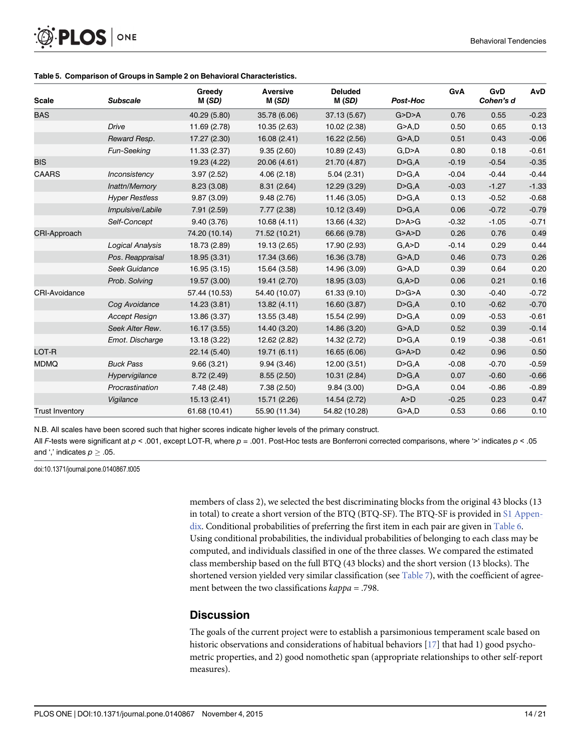#### <span id="page-13-0"></span>[Table 5.](#page-12-0) Comparison of Groups in Sample 2 on Behavioral Characteristics.

| <b>Scale</b>           | <b>Subscale</b>       | Greedy<br>M (SD) | <b>Aversive</b><br>M (SD) | <b>Deluded</b><br>M(SD) | Post-Hoc  | GvA     | <b>GvD</b><br>Cohen's d | AvD     |
|------------------------|-----------------------|------------------|---------------------------|-------------------------|-----------|---------|-------------------------|---------|
| <b>BAS</b>             |                       | 40.29 (5.80)     | 35.78 (6.06)              | 37.13 (5.67)            | G>D>A     | 0.76    | 0.55                    | $-0.23$ |
|                        | Drive                 | 11.69 (2.78)     | 10.35 (2.63)              | 10.02 (2.38)            | G > A.D   | 0.50    | 0.65                    | 0.13    |
|                        | Reward Resp.          | 17.27 (2.30)     | 16.08(2.41)               | 16.22 (2.56)            | G > A.D   | 0.51    | 0.43                    | $-0.06$ |
|                        | Fun-Seeking           | 11.33 (2.37)     | 9.35(2.60)                | 10.89 (2.43)            | G.D > A   | 0.80    | 0.18                    | $-0.61$ |
| <b>BIS</b>             |                       | 19.23 (4.22)     | 20.06 (4.61)              | 21.70 (4.87)            | D > G, A  | $-0.19$ | $-0.54$                 | $-0.35$ |
| <b>CAARS</b>           | Inconsistency         | 3.97(2.52)       | 4.06(2.18)                | 5.04(2.31)              | D > G, A  | $-0.04$ | $-0.44$                 | $-0.44$ |
|                        | Inattn/Memory         | 8.23(3.08)       | 8.31(2.64)                | 12.29 (3.29)            | D > G.A   | $-0.03$ | $-1.27$                 | $-1.33$ |
|                        | <b>Hyper Restless</b> | 9.87(3.09)       | 9.48(2.76)                | 11.46 (3.05)            | D > G.A   | 0.13    | $-0.52$                 | $-0.68$ |
|                        | Impulsive/Labile      | 7.91(2.59)       | 7.77(2.38)                | 10.12 (3.49)            | D > G.A   | 0.06    | $-0.72$                 | $-0.79$ |
|                        | Self-Concept          | 9.40(3.76)       | 10.68(4.11)               | 13.66 (4.32)            | D > A > G | $-0.32$ | $-1.05$                 | $-0.71$ |
| <b>CRI-Approach</b>    |                       | 74.20 (10.14)    | 71.52 (10.21)             | 66.66 (9.78)            | G > A > D | 0.26    | 0.76                    | 0.49    |
|                        | Logical Analysis      | 18.73 (2.89)     | 19.13 (2.65)              | 17.90 (2.93)            | G, A > D  | $-0.14$ | 0.29                    | 0.44    |
|                        | Pos. Reappraisal      | 18.95 (3.31)     | 17.34 (3.66)              | 16.36 (3.78)            | G > A.D   | 0.46    | 0.73                    | 0.26    |
|                        | Seek Guidance         | 16.95(3.15)      | 15.64 (3.58)              | 14.96 (3.09)            | G > A.D   | 0.39    | 0.64                    | 0.20    |
|                        | Prob. Solving         | 19.57 (3.00)     | 19.41 (2.70)              | 18.95 (3.03)            | G.A > D   | 0.06    | 0.21                    | 0.16    |
| <b>CRI-Avoidance</b>   |                       | 57.44 (10.53)    | 54.40 (10.07)             | 61.33 (9.10)            | D > G > A | 0.30    | $-0.40$                 | $-0.72$ |
|                        | Cog Avoidance         | 14.23 (3.81)     | 13.82 (4.11)              | 16.60 (3.87)            | D > G, A  | 0.10    | $-0.62$                 | $-0.70$ |
|                        | <b>Accept Resign</b>  | 13.86 (3.37)     | 13.55 (3.48)              | 15.54 (2.99)            | D > G.A   | 0.09    | $-0.53$                 | $-0.61$ |
|                        | Seek Alter Rew.       | 16.17 (3.55)     | 14.40 (3.20)              | 14.86 (3.20)            | G > A.D   | 0.52    | 0.39                    | $-0.14$ |
|                        | Emot. Discharge       | 13.18 (3.22)     | 12.62 (2.82)              | 14.32 (2.72)            | D > G.A   | 0.19    | $-0.38$                 | $-0.61$ |
| LOT-R                  |                       | 22.14 (5.40)     | 19.71 (6.11)              | 16.65 (6.06)            | G > A > D | 0.42    | 0.96                    | 0.50    |
| <b>MDMQ</b>            | <b>Buck Pass</b>      | 9.66(3.21)       | 9.94(3.46)                | 12.00(3.51)             | D > G.A   | $-0.08$ | $-0.70$                 | $-0.59$ |
|                        | Hypervigilance        | 8.72(2.49)       | 8.55(2.50)                | 10.31 (2.84)            | D > G, A  | 0.07    | $-0.60$                 | $-0.66$ |
|                        | Procrastination       | 7.48(2.48)       | 7.38(2.50)                | 9.84(3.00)              | D > G.A   | 0.04    | $-0.86$                 | $-0.89$ |
|                        | Vigilance             | 15.13(2.41)      | 15.71 (2.26)              | 14.54 (2.72)            | A > D     | $-0.25$ | 0.23                    | 0.47    |
| <b>Trust Inventory</b> |                       | 61.68 (10.41)    | 55.90 (11.34)             | 54.82 (10.28)           | G > A.D   | 0.53    | 0.66                    | 0.10    |

N.B. All scales have been scored such that higher scores indicate higher levels of the primary construct.

All F-tests were significant at  $p < .001$ , except LOT-R, where  $p = .001$ . Post-Hoc tests are Bonferroni corrected comparisons, where  $\geq$  indicates  $p < .05$ and ',' indicates  $p \geq .05$ .

doi:10.1371/journal.pone.0140867.t005

members of class 2), we selected the best discriminating blocks from the original 43 blocks (13 in total) to create a short version of the BTQ (BTQ-SF). The BTQ-SF is provided in [S1 Appen](#page-17-0)[dix](#page-17-0). Conditional probabilities of preferring the first item in each pair are given in [Table 6.](#page-14-0) Using conditional probabilities, the individual probabilities of belonging to each class may be computed, and individuals classified in one of the three classes. We compared the estimated class membership based on the full BTQ (43 blocks) and the short version (13 blocks). The shortened version yielded very similar classification (see [Table 7\)](#page-14-0), with the coefficient of agreement between the two classifications kappa = .798.

## **Discussion**

The goals of the current project were to establish a parsimonious temperament scale based on historic observations and considerations of habitual behaviors [[17](#page-18-0)] that had 1) good psychometric properties, and 2) good nomothetic span (appropriate relationships to other self-report measures).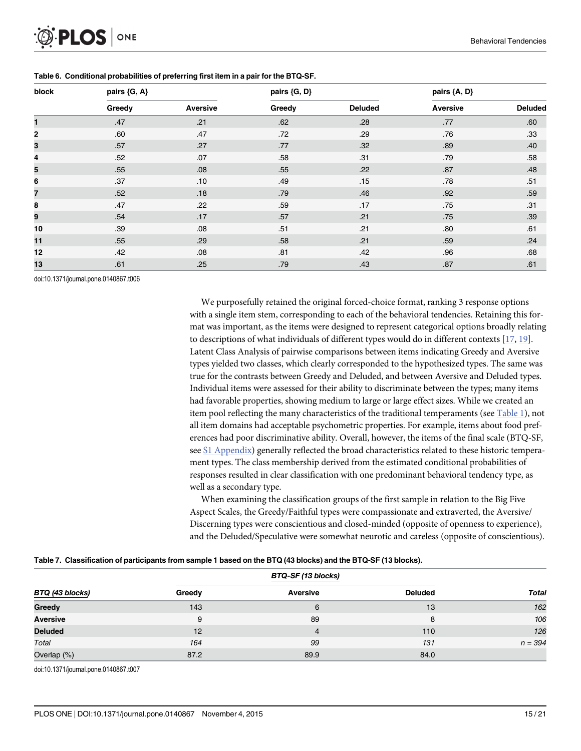| block | pairs {G, A} |                 | pairs {G, D} |                | pairs {A, D}    |                |
|-------|--------------|-----------------|--------------|----------------|-----------------|----------------|
|       | Greedy       | <b>Aversive</b> | Greedy       | <b>Deluded</b> | <b>Aversive</b> | <b>Deluded</b> |
|       | .47          | .21             | .62          | .28            | .77             | .60            |
| 2     | .60          | .47             | .72          | .29            | .76             | .33            |
| 3     | .57          | .27             | .77          | .32            | .89             | .40            |
| 4     | .52          | .07             | .58          | .31            | .79             | .58            |
| 5     | .55          | .08             | .55          | .22            | .87             | .48            |
| 6     | .37          | .10             | .49          | .15            | .78             | .51            |
| 7     | .52          | .18             | .79          | .46            | .92             | .59            |
| 8     | .47          | .22             | .59          | .17            | .75             | .31            |
| 9     | .54          | .17             | .57          | .21            | .75             | .39            |
| 10    | .39          | .08             | .51          | .21            | .80             | .61            |
| 11    | .55          | .29             | .58          | .21            | .59             | .24            |
| 12    | .42          | .08             | .81          | .42            | .96             | .68            |
| 13    | .61          | .25             | .79          | .43            | .87             | .61            |

<span id="page-14-0"></span>[Table 6.](#page-13-0) Conditional probabilities of preferring first item in a pair for the BTQ-SF.

doi:10.1371/journal.pone.0140867.t006

We purposefully retained the original forced-choice format, ranking 3 response options with a single item stem, corresponding to each of the behavioral tendencies. Retaining this format was important, as the items were designed to represent categorical options broadly relating to descriptions of what individuals of different types would do in different contexts [[17](#page-18-0), [19](#page-18-0)]. Latent Class Analysis of pairwise comparisons between items indicating Greedy and Aversive types yielded two classes, which clearly corresponded to the hypothesized types. The same was true for the contrasts between Greedy and Deluded, and between Aversive and Deluded types. Individual items were assessed for their ability to discriminate between the types; many items had favorable properties, showing medium to large or large effect sizes. While we created an item pool reflecting the many characteristics of the traditional temperaments (see [Table 1\)](#page-4-0), not all item domains had acceptable psychometric properties. For example, items about food preferences had poor discriminative ability. Overall, however, the items of the final scale (BTQ-SF, see [S1 Appendix](#page-17-0)) generally reflected the broad characteristics related to these historic temperament types. The class membership derived from the estimated conditional probabilities of responses resulted in clear classification with one predominant behavioral tendency type, as well as a secondary type.

When examining the classification groups of the first sample in relation to the Big Five Aspect Scales, the Greedy/Faithful types were compassionate and extraverted, the Aversive/ Discerning types were conscientious and closed-minded (opposite of openness to experience), and the Deluded/Speculative were somewhat neurotic and careless (opposite of conscientious).

|  |  | Table 7. Classification of participants from sample 1 based on the BTQ (43 blocks) and the BTQ-SF (13 blocks). |  |  |
|--|--|----------------------------------------------------------------------------------------------------------------|--|--|
|  |  |                                                                                                                |  |  |

| BTQ (43 blocks) | Greedy | Aversive | <b>Deluded</b> | <b>Total</b> |
|-----------------|--------|----------|----------------|--------------|
| <b>Greedy</b>   | 143    | 6        | 13             | 162          |
| <b>Aversive</b> | 9      | 89       | 8              | 106          |
| <b>Deluded</b>  | 12     | 4        | 110            | 126          |
| Total           | 164    | 99       | 131            | $n = 394$    |
| Overlap (%)     | 87.2   | 89.9     | 84.0           |              |

doi:10.1371/journal.pone.0140867.t007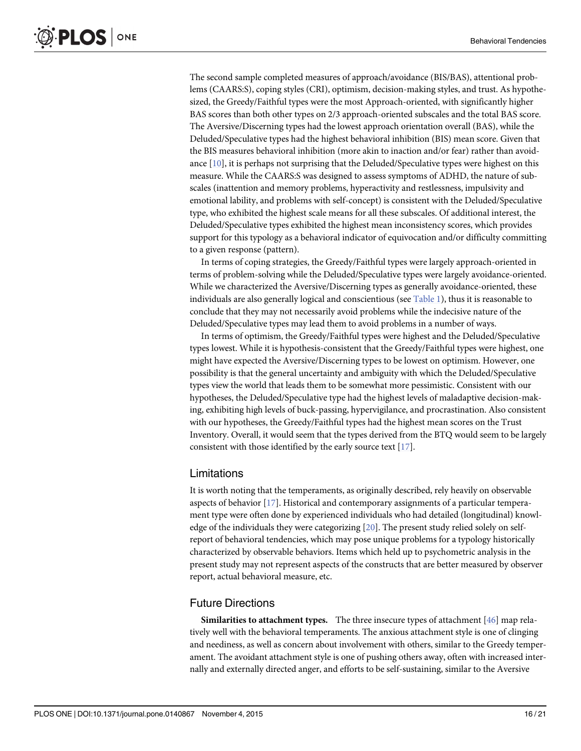<span id="page-15-0"></span>The second sample completed measures of approach/avoidance (BIS/BAS), attentional problems (CAARS:S), coping styles (CRI), optimism, decision-making styles, and trust. As hypothesized, the Greedy/Faithful types were the most Approach-oriented, with significantly higher BAS scores than both other types on 2/3 approach-oriented subscales and the total BAS score. The Aversive/Discerning types had the lowest approach orientation overall (BAS), while the Deluded/Speculative types had the highest behavioral inhibition (BIS) mean score. Given that the BIS measures behavioral inhibition (more akin to inaction and/or fear) rather than avoidance [[10](#page-18-0)], it is perhaps not surprising that the Deluded/Speculative types were highest on this measure. While the CAARS:S was designed to assess symptoms of ADHD, the nature of subscales (inattention and memory problems, hyperactivity and restlessness, impulsivity and emotional lability, and problems with self-concept) is consistent with the Deluded/Speculative type, who exhibited the highest scale means for all these subscales. Of additional interest, the Deluded/Speculative types exhibited the highest mean inconsistency scores, which provides support for this typology as a behavioral indicator of equivocation and/or difficulty committing to a given response (pattern).

In terms of coping strategies, the Greedy/Faithful types were largely approach-oriented in terms of problem-solving while the Deluded/Speculative types were largely avoidance-oriented. While we characterized the Aversive/Discerning types as generally avoidance-oriented, these individuals are also generally logical and conscientious (see [Table 1\)](#page-4-0), thus it is reasonable to conclude that they may not necessarily avoid problems while the indecisive nature of the Deluded/Speculative types may lead them to avoid problems in a number of ways.

In terms of optimism, the Greedy/Faithful types were highest and the Deluded/Speculative types lowest. While it is hypothesis-consistent that the Greedy/Faithful types were highest, one might have expected the Aversive/Discerning types to be lowest on optimism. However, one possibility is that the general uncertainty and ambiguity with which the Deluded/Speculative types view the world that leads them to be somewhat more pessimistic. Consistent with our hypotheses, the Deluded/Speculative type had the highest levels of maladaptive decision-making, exhibiting high levels of buck-passing, hypervigilance, and procrastination. Also consistent with our hypotheses, the Greedy/Faithful types had the highest mean scores on the Trust Inventory. Overall, it would seem that the types derived from the BTQ would seem to be largely consistent with those identified by the early source text  $[17]$  $[17]$ .

#### Limitations

It is worth noting that the temperaments, as originally described, rely heavily on observable aspects of behavior [[17\]](#page-18-0). Historical and contemporary assignments of a particular temperament type were often done by experienced individuals who had detailed (longitudinal) knowledge of the individuals they were categorizing [[20](#page-18-0)]. The present study relied solely on selfreport of behavioral tendencies, which may pose unique problems for a typology historically characterized by observable behaviors. Items which held up to psychometric analysis in the present study may not represent aspects of the constructs that are better measured by observer report, actual behavioral measure, etc.

#### Future Directions

**Similarities to attachment types.** The three insecure types of attachment  $[46]$  $[46]$  map relatively well with the behavioral temperaments. The anxious attachment style is one of clinging and neediness, as well as concern about involvement with others, similar to the Greedy temperament. The avoidant attachment style is one of pushing others away, often with increased internally and externally directed anger, and efforts to be self-sustaining, similar to the Aversive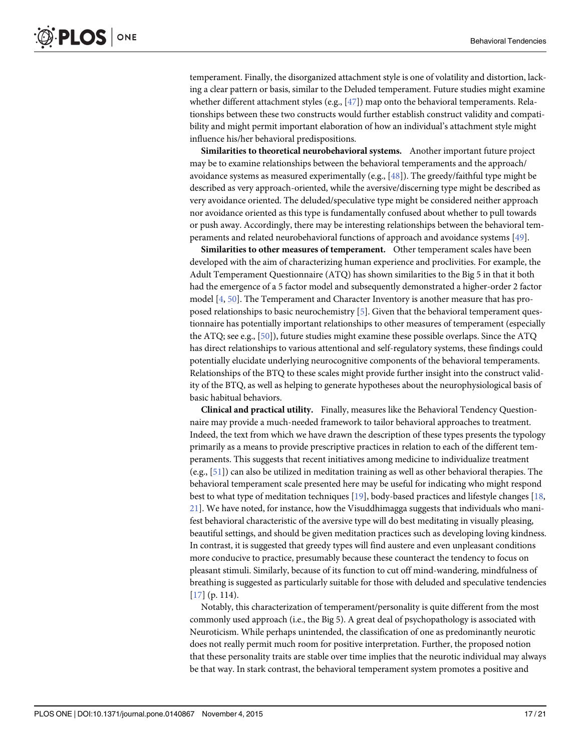<span id="page-16-0"></span>temperament. Finally, the disorganized attachment style is one of volatility and distortion, lacking a clear pattern or basis, similar to the Deluded temperament. Future studies might examine whether different attachment styles (e.g., [\[47\]](#page-19-0)) map onto the behavioral temperaments. Relationships between these two constructs would further establish construct validity and compatibility and might permit important elaboration of how an individual's attachment style might influence his/her behavioral predispositions.

Similarities to theoretical neurobehavioral systems. Another important future project may be to examine relationships between the behavioral temperaments and the approach/ avoidance systems as measured experimentally (e.g., [\[48\]](#page-19-0)). The greedy/faithful type might be described as very approach-oriented, while the aversive/discerning type might be described as very avoidance oriented. The deluded/speculative type might be considered neither approach nor avoidance oriented as this type is fundamentally confused about whether to pull towards or push away. Accordingly, there may be interesting relationships between the behavioral temperaments and related neurobehavioral functions of approach and avoidance systems [[49\]](#page-19-0).

Similarities to other measures of temperament. Other temperament scales have been developed with the aim of characterizing human experience and proclivities. For example, the Adult Temperament Questionnaire (ATQ) has shown similarities to the Big 5 in that it both had the emergence of a 5 factor model and subsequently demonstrated a higher-order 2 factor model [[4](#page-18-0), [50](#page-20-0)]. The Temperament and Character Inventory is another measure that has pro-posed relationships to basic neurochemistry [[5](#page-18-0)]. Given that the behavioral temperament questionnaire has potentially important relationships to other measures of temperament (especially the ATQ; see e.g., [[50](#page-20-0)]), future studies might examine these possible overlaps. Since the ATQ has direct relationships to various attentional and self-regulatory systems, these findings could potentially elucidate underlying neurocognitive components of the behavioral temperaments. Relationships of the BTQ to these scales might provide further insight into the construct validity of the BTQ, as well as helping to generate hypotheses about the neurophysiological basis of basic habitual behaviors.

Clinical and practical utility. Finally, measures like the Behavioral Tendency Questionnaire may provide a much-needed framework to tailor behavioral approaches to treatment. Indeed, the text from which we have drawn the description of these types presents the typology primarily as a means to provide prescriptive practices in relation to each of the different temperaments. This suggests that recent initiatives among medicine to individualize treatment (e.g., [\[51](#page-20-0)]) can also be utilized in meditation training as well as other behavioral therapies. The behavioral temperament scale presented here may be useful for indicating who might respond best to what type of meditation techniques [[19](#page-18-0)], body-based practices and lifestyle changes [\[18,](#page-18-0) [21\]](#page-18-0). We have noted, for instance, how the Visuddhimagga suggests that individuals who manifest behavioral characteristic of the aversive type will do best meditating in visually pleasing, beautiful settings, and should be given meditation practices such as developing loving kindness. In contrast, it is suggested that greedy types will find austere and even unpleasant conditions more conducive to practice, presumably because these counteract the tendency to focus on pleasant stimuli. Similarly, because of its function to cut off mind-wandering, mindfulness of breathing is suggested as particularly suitable for those with deluded and speculative tendencies  $[17]$  $[17]$  (p. 114).

Notably, this characterization of temperament/personality is quite different from the most commonly used approach (i.e., the Big 5). A great deal of psychopathology is associated with Neuroticism. While perhaps unintended, the classification of one as predominantly neurotic does not really permit much room for positive interpretation. Further, the proposed notion that these personality traits are stable over time implies that the neurotic individual may always be that way. In stark contrast, the behavioral temperament system promotes a positive and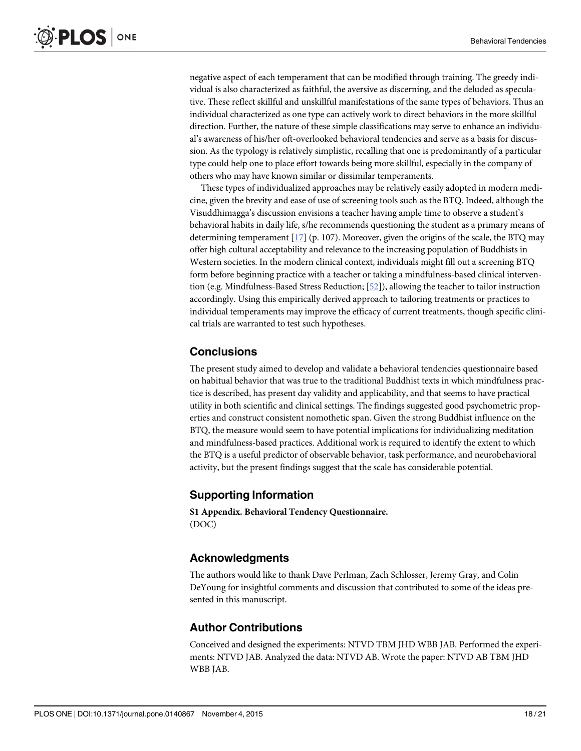<span id="page-17-0"></span>negative aspect of each temperament that can be modified through training. The greedy individual is also characterized as faithful, the aversive as discerning, and the deluded as speculative. These reflect skillful and unskillful manifestations of the same types of behaviors. Thus an individual characterized as one type can actively work to direct behaviors in the more skillful direction. Further, the nature of these simple classifications may serve to enhance an individual's awareness of his/her oft-overlooked behavioral tendencies and serve as a basis for discussion. As the typology is relatively simplistic, recalling that one is predominantly of a particular type could help one to place effort towards being more skillful, especially in the company of others who may have known similar or dissimilar temperaments.

These types of individualized approaches may be relatively easily adopted in modern medicine, given the brevity and ease of use of screening tools such as the BTQ. Indeed, although the Visuddhimagga's discussion envisions a teacher having ample time to observe a student's behavioral habits in daily life, s/he recommends questioning the student as a primary means of determining temperament [\[17\]](#page-18-0) (p. 107). Moreover, given the origins of the scale, the BTQ may offer high cultural acceptability and relevance to the increasing population of Buddhists in Western societies. In the modern clinical context, individuals might fill out a screening BTQ form before beginning practice with a teacher or taking a mindfulness-based clinical intervention (e.g. Mindfulness-Based Stress Reduction; [\[52](#page-20-0)]), allowing the teacher to tailor instruction accordingly. Using this empirically derived approach to tailoring treatments or practices to individual temperaments may improve the efficacy of current treatments, though specific clinical trials are warranted to test such hypotheses.

## **Conclusions**

The present study aimed to develop and validate a behavioral tendencies questionnaire based on habitual behavior that was true to the traditional Buddhist texts in which mindfulness practice is described, has present day validity and applicability, and that seems to have practical utility in both scientific and clinical settings. The findings suggested good psychometric properties and construct consistent nomothetic span. Given the strong Buddhist influence on the BTQ, the measure would seem to have potential implications for individualizing meditation and mindfulness-based practices. Additional work is required to identify the extent to which the BTQ is a useful predictor of observable behavior, task performance, and neurobehavioral activity, but the present findings suggest that the scale has considerable potential.

## Supporting Information

[S1 Appendix.](http://www.plosone.org/article/fetchSingleRepresentation.action?uri=info:doi/10.1371/journal.pone.0140867.s001) Behavioral Tendency Questionnaire. (DOC)

## Acknowledgments

The authors would like to thank Dave Perlman, Zach Schlosser, Jeremy Gray, and Colin DeYoung for insightful comments and discussion that contributed to some of the ideas presented in this manuscript.

## Author Contributions

Conceived and designed the experiments: NTVD TBM JHD WBB JAB. Performed the experiments: NTVD JAB. Analyzed the data: NTVD AB. Wrote the paper: NTVD AB TBM JHD WBB JAB.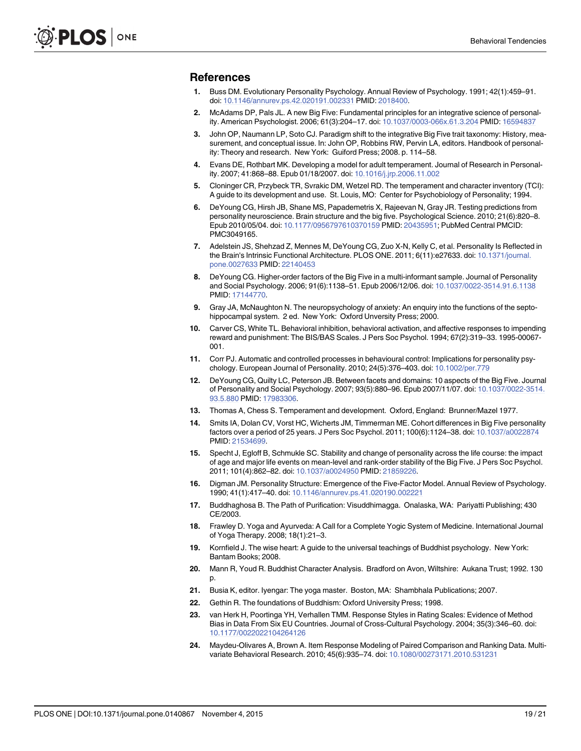#### <span id="page-18-0"></span>References

- [1.](#page-1-0) Buss DM. Evolutionary Personality Psychology. Annual Review of Psychology. 1991; 42(1):459–91. doi: [10.1146/annurev.ps.42.020191.002331](http://dx.doi.org/10.1146/annurev.ps.42.020191.002331) PMID: [2018400.](http://www.ncbi.nlm.nih.gov/pubmed/2018400)
- [2.](#page-1-0) McAdams DP, Pals JL. A new Big Five: Fundamental principles for an integrative science of personality. American Psychologist. 2006; 61(3):204–17. doi: [10.1037/0003-066x.61.3.204](http://dx.doi.org/10.1037/0003-066x.61.3.204) PMID: [16594837](http://www.ncbi.nlm.nih.gov/pubmed/16594837)
- [3.](#page-1-0) John OP, Naumann LP, Soto CJ. Paradigm shift to the integrative Big Five trait taxonomy: History, measurement, and conceptual issue. In: John OP, Robbins RW, Pervin LA, editors. Handbook of personality: Theory and research. New York: Guiford Press; 2008. p. 114–58.
- [4.](#page-1-0) Evans DE, Rothbart MK. Developing a model for adult temperament. Journal of Research in Personality. 2007; 41:868–88. Epub 01/18/2007. doi: [10.1016/j.jrp.2006.11.002](http://dx.doi.org/10.1016/j.jrp.2006.11.002)
- [5.](#page-1-0) Cloninger CR, Przybeck TR, Svrakic DM, Wetzel RD. The temperament and character inventory (TCI): A guide to its development and use. St. Louis, MO: Center for Psychobiology of Personality; 1994.
- [6.](#page-1-0) DeYoung CG, Hirsh JB, Shane MS, Papademetris X, Rajeevan N, Gray JR. Testing predictions from personality neuroscience. Brain structure and the big five. Psychological Science. 2010; 21(6):820–8. Epub 2010/05/04. doi: [10.1177/0956797610370159](http://dx.doi.org/10.1177/0956797610370159) PMID: [20435951](http://www.ncbi.nlm.nih.gov/pubmed/20435951); PubMed Central PMCID: PMC3049165.
- [7.](#page-1-0) Adelstein JS, Shehzad Z, Mennes M, DeYoung CG, Zuo X-N, Kelly C, et al. Personality Is Reflected in the Brain's Intrinsic Functional Architecture. PLOS ONE. 2011; 6(11):e27633. doi: [10.1371/journal.](http://dx.doi.org/10.1371/journal.pone.0027633) [pone.0027633](http://dx.doi.org/10.1371/journal.pone.0027633) PMID: [22140453](http://www.ncbi.nlm.nih.gov/pubmed/22140453)
- [8.](#page-1-0) DeYoung CG. Higher-order factors of the Big Five in a multi-informant sample. Journal of Personality and Social Psychology. 2006; 91(6):1138–51. Epub 2006/12/06. doi: [10.1037/0022-3514.91.6.1138](http://dx.doi.org/10.1037/0022-3514.91.6.1138) PMID: [17144770.](http://www.ncbi.nlm.nih.gov/pubmed/17144770)
- [9.](#page-1-0) Gray JA, McNaughton N. The neuropsychology of anxiety: An enquiry into the functions of the septohippocampal system. 2 ed. New York: Oxford Unversity Press; 2000.
- [10.](#page-1-0) Carver CS, White TL. Behavioral inhibition, behavioral activation, and affective responses to impending reward and punishment: The BIS/BAS Scales. J Pers Soc Psychol. 1994; 67(2):319–33. 1995-00067- 001.
- [11.](#page-1-0) Corr PJ. Automatic and controlled processes in behavioural control: Implications for personality psychology. European Journal of Personality. 2010; 24(5):376–403. doi: [10.1002/per.779](http://dx.doi.org/10.1002/per.779)
- [12.](#page-1-0) DeYoung CG, Quilty LC, Peterson JB. Between facets and domains: 10 aspects of the Big Five. Journal of Personality and Social Psychology. 2007; 93(5):880–96. Epub 2007/11/07. doi: [10.1037/0022-3514.](http://dx.doi.org/10.1037/0022-3514.93.5.880) [93.5.880](http://dx.doi.org/10.1037/0022-3514.93.5.880) PMID: [17983306](http://www.ncbi.nlm.nih.gov/pubmed/17983306).
- [13.](#page-1-0) Thomas A, Chess S. Temperament and development. Oxford, England: Brunner/Mazel 1977.
- [14.](#page-1-0) Smits IA, Dolan CV, Vorst HC, Wicherts JM, Timmerman ME. Cohort differences in Big Five personality factors over a period of 25 years. J Pers Soc Psychol. 2011; 100(6):1124–38. doi: [10.1037/a0022874](http://dx.doi.org/10.1037/a0022874) PMID: [21534699.](http://www.ncbi.nlm.nih.gov/pubmed/21534699)
- [15.](#page-1-0) Specht J, Egloff B, Schmukle SC. Stability and change of personality across the life course: the impact of age and major life events on mean-level and rank-order stability of the Big Five. J Pers Soc Psychol. 2011; 101(4):862–82. doi: [10.1037/a0024950](http://dx.doi.org/10.1037/a0024950) PMID: [21859226.](http://www.ncbi.nlm.nih.gov/pubmed/21859226)
- [16.](#page-2-0) Digman JM. Personality Structure: Emergence of the Five-Factor Model. Annual Review of Psychology. 1990; 41(1):417–40. doi: [10.1146/annurev.ps.41.020190.002221](http://dx.doi.org/10.1146/annurev.ps.41.020190.002221)
- [17.](#page-2-0) Buddhaghosa B. The Path of Purification: Visuddhimagga. Onalaska, WA: Pariyatti Publishing; 430 CE/2003.
- [18.](#page-2-0) Frawley D. Yoga and Ayurveda: A Call for a Complete Yogic System of Medicine. International Journal of Yoga Therapy. 2008; 18(1):21–3.
- [19.](#page-2-0) Kornfield J. The wise heart: A guide to the universal teachings of Buddhist psychology. New York: Bantam Books; 2008.
- [20.](#page-2-0) Mann R, Youd R. Buddhist Character Analysis. Bradford on Avon, Wiltshire: Aukana Trust; 1992. 130 p.
- [21.](#page-2-0) Busia K, editor. Iyengar: The yoga master. Boston, MA: Shambhala Publications; 2007.
- [22.](#page-3-0) Gethin R. The foundations of Buddhism: Oxford University Press; 1998.
- [23.](#page-5-0) van Herk H, Poortinga YH, Verhallen TMM. Response Styles in Rating Scales: Evidence of Method Bias in Data From Six EU Countries. Journal of Cross-Cultural Psychology. 2004; 35(3):346–60. doi: [10.1177/0022022104264126](http://dx.doi.org/10.1177/0022022104264126)
- [24.](#page-5-0) Maydeu-Olivares A, Brown A. Item Response Modeling of Paired Comparison and Ranking Data. Multivariate Behavioral Research. 2010; 45(6):935–74. doi: [10.1080/00273171.2010.531231](http://dx.doi.org/10.1080/00273171.2010.531231)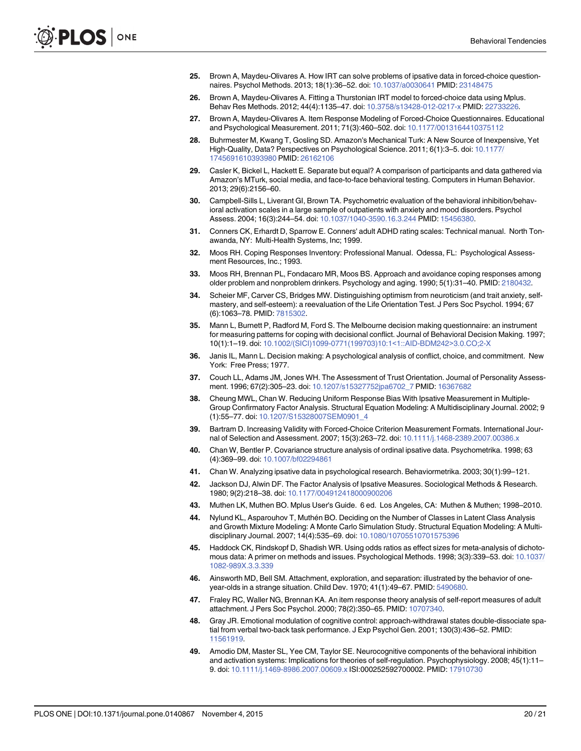- <span id="page-19-0"></span>[25.](#page-8-0) Brown A, Maydeu-Olivares A. How IRT can solve problems of ipsative data in forced-choice questionnaires. Psychol Methods. 2013; 18(1):36–52. doi: [10.1037/a0030641](http://dx.doi.org/10.1037/a0030641) PMID: [23148475](http://www.ncbi.nlm.nih.gov/pubmed/23148475)
- 26. Brown A, Maydeu-Olivares A. Fitting a Thurstonian IRT model to forced-choice data using Mplus. Behav Res Methods. 2012; 44(4):1135–47. doi: [10.3758/s13428-012-0217-x](http://dx.doi.org/10.3758/s13428-012-0217-x) PMID: [22733226.](http://www.ncbi.nlm.nih.gov/pubmed/22733226)
- [27.](#page-5-0) Brown A, Maydeu-Olivares A. Item Response Modeling of Forced-Choice Questionnaires. Educational and Psychological Measurement. 2011; 71(3):460–502. doi: [10.1177/0013164410375112](http://dx.doi.org/10.1177/0013164410375112)
- [28.](#page-5-0) Buhrmester M, Kwang T, Gosling SD. Amazon's Mechanical Turk: A New Source of Inexpensive, Yet High-Quality, Data? Perspectives on Psychological Science. 2011; 6(1):3-5. doi: [10.1177/](http://dx.doi.org/10.1177/1745691610393980) [1745691610393980](http://dx.doi.org/10.1177/1745691610393980) PMID: [26162106](http://www.ncbi.nlm.nih.gov/pubmed/26162106)
- [29.](#page-5-0) Casler K, Bickel L, Hackett E. Separate but equal? A comparison of participants and data gathered via Amazon's MTurk, social media, and face-to-face behavioral testing. Computers in Human Behavior. 2013; 29(6):2156–60.
- [30.](#page-6-0) Campbell-Sills L, Liverant GI, Brown TA. Psychometric evaluation of the behavioral inhibition/behavioral activation scales in a large sample of outpatients with anxiety and mood disorders. Psychol Assess. 2004; 16(3):244-54. doi: [10.1037/1040-3590.16.3.244](http://dx.doi.org/10.1037/1040-3590.16.3.244) PMID: 15456380
- [31.](#page-6-0) Conners CK, Erhardt D, Sparrow E. Conners' adult ADHD rating scales: Technical manual. North Tonawanda, NY: Multi-Health Systems, Inc; 1999.
- [32.](#page-7-0) Moos RH. Coping Responses Inventory: Professional Manual. Odessa, FL: Psychological Assessment Resources, Inc.; 1993.
- [33.](#page-7-0) Moos RH, Brennan PL, Fondacaro MR, Moos BS. Approach and avoidance coping responses among older problem and nonproblem drinkers. Psychology and aging. 1990; 5(1):31–40. PMID: [2180432.](http://www.ncbi.nlm.nih.gov/pubmed/2180432)
- [34.](#page-7-0) Scheier MF, Carver CS, Bridges MW. Distinguishing optimism from neuroticism (and trait anxiety, selfmastery, and self-esteem): a reevaluation of the Life Orientation Test. J Pers Soc Psychol. 1994; 67 (6):1063–78. PMID: [7815302.](http://www.ncbi.nlm.nih.gov/pubmed/7815302)
- [35.](#page-7-0) Mann L, Burnett P, Radford M, Ford S. The Melbourne decision making questionnaire: an instrument for measuring patterns for coping with decisional conflict. Journal of Behavioral Decision Making. 1997; 10(1):1–19. doi: [10.1002/\(SICI\)1099-0771\(199703\)10:1](http://dx.doi.org/10.1002/(SICI)1099-0771(199703)10:1<1::AID-BDM242>3.0.CO;2-X)<1::AID-BDM242>3.0.CO;2-X
- [36.](#page-7-0) Janis IL, Mann L. Decision making: A psychological analysis of conflict, choice, and commitment. New York: Free Press; 1977.
- [37.](#page-7-0) Couch LL, Adams JM, Jones WH. The Assessment of Trust Orientation. Journal of Personality Assessment. 1996; 67(2):305–23. doi: [10.1207/s15327752jpa6702\\_7](http://dx.doi.org/10.1207/s15327752jpa6702_7) PMID: [16367682](http://www.ncbi.nlm.nih.gov/pubmed/16367682)
- [38.](#page-7-0) Cheung MWL, Chan W. Reducing Uniform Response Bias With Ipsative Measurement in Multiple-Group Confirmatory Factor Analysis. Structural Equation Modeling: A Multidisciplinary Journal. 2002; 9 (1):55–77. doi: [10.1207/S15328007SEM0901\\_4](http://dx.doi.org/10.1207/S15328007SEM0901_4)
- [39.](#page-7-0) Bartram D. Increasing Validity with Forced-Choice Criterion Measurement Formats. International Journal of Selection and Assessment. 2007; 15(3):263–72. doi: [10.1111/j.1468-2389.2007.00386.x](http://dx.doi.org/10.1111/j.1468-2389.2007.00386.x)
- [40.](#page-8-0) Chan W, Bentler P. Covariance structure analysis of ordinal ipsative data. Psychometrika. 1998; 63 (4):369–99. doi: [10.1007/bf02294861](http://dx.doi.org/10.1007/bf02294861)
- [41.](#page-8-0) Chan W. Analyzing ipsative data in psychological research. Behaviormetrika. 2003; 30(1):99–121.
- [42.](#page-8-0) Jackson DJ, Alwin DF. The Factor Analysis of Ipsative Measures. Sociological Methods & Research. 1980; 9(2):218–38. doi: [10.1177/004912418000900206](http://dx.doi.org/10.1177/004912418000900206)
- [43.](#page-8-0) Muthen LK, Muthen BO. Mplus User's Guide. 6 ed. Los Angeles, CA: Muthen & Muthen; 1998–2010.
- [44.](#page-9-0) Nylund KL, Asparouhov T, Muthén BO. Deciding on the Number of Classes in Latent Class Analysis and Growth Mixture Modeling: A Monte Carlo Simulation Study. Structural Equation Modeling: A Multidisciplinary Journal. 2007; 14(4):535–69. doi: [10.1080/10705510701575396](http://dx.doi.org/10.1080/10705510701575396)
- [45.](#page-9-0) Haddock CK, Rindskopf D, Shadish WR. Using odds ratios as effect sizes for meta-analysis of dichotomous data: A primer on methods and issues. Psychological Methods. 1998; 3(3):339–53. doi: [10.1037/](http://dx.doi.org/10.1037/1082-989X.3.3.339) [1082-989X.3.3.339](http://dx.doi.org/10.1037/1082-989X.3.3.339)
- [46.](#page-15-0) Ainsworth MD, Bell SM. Attachment, exploration, and separation: illustrated by the behavior of oneyear-olds in a strange situation. Child Dev. 1970; 41(1):49–67. PMID: [5490680](http://www.ncbi.nlm.nih.gov/pubmed/5490680).
- [47.](#page-16-0) Fraley RC, Waller NG, Brennan KA. An item response theory analysis of self-report measures of adult attachment. J Pers Soc Psychol. 2000; 78(2):350–65. PMID: [10707340](http://www.ncbi.nlm.nih.gov/pubmed/10707340).
- [48.](#page-16-0) Gray JR. Emotional modulation of cognitive control: approach-withdrawal states double-dissociate spatial from verbal two-back task performance. J Exp Psychol Gen. 2001; 130(3):436–52. PMID: [11561919](http://www.ncbi.nlm.nih.gov/pubmed/11561919).
- [49.](#page-16-0) Amodio DM, Master SL, Yee CM, Taylor SE. Neurocognitive components of the behavioral inhibition and activation systems: Implications for theories of self-regulation. Psychophysiology. 2008; 45(1):11– 9. doi: [10.1111/j.1469-8986.2007.00609.x](http://dx.doi.org/10.1111/j.1469-8986.2007.00609.x) ISI:000252592700002. PMID: [17910730](http://www.ncbi.nlm.nih.gov/pubmed/17910730)